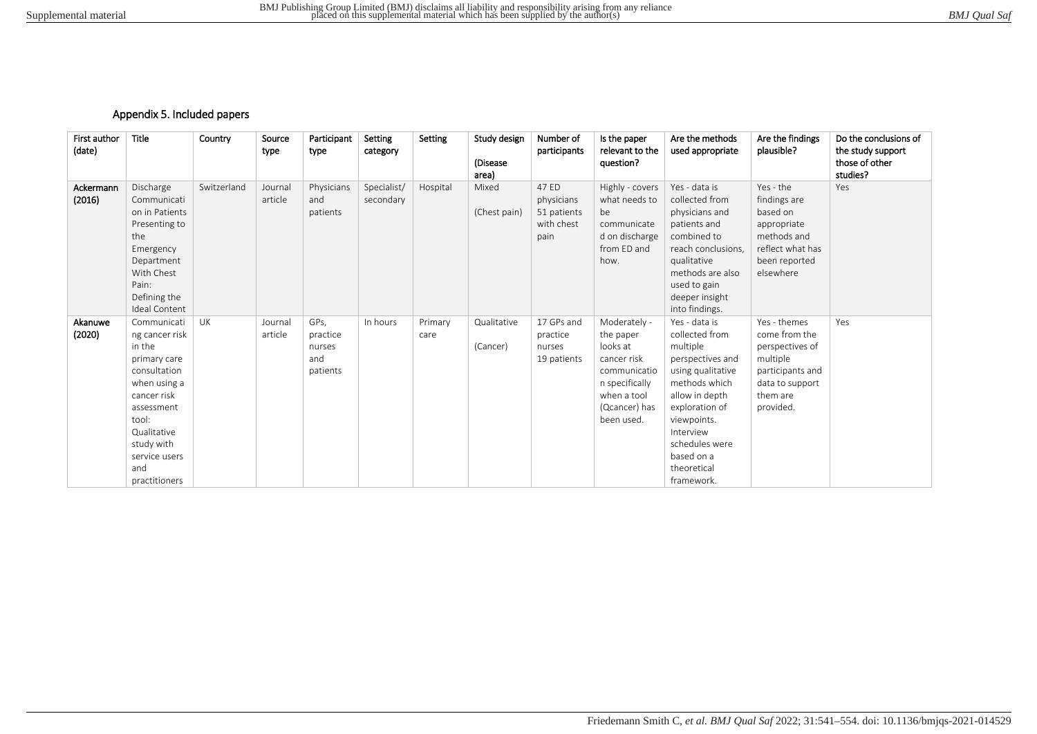## Appendix 5. Included papers

| First author<br>(date) | <b>Title</b>                                                                                                                                                                                        | Country     | Source<br>type     | Participant<br>type                           | Setting<br>category      | Setting         | Study design<br>(Disease<br>area) | Number of<br>participants                                | Is the paper<br>relevant to the<br>question?                                                                                         | Are the methods<br>used appropriate                                                                                                                                                                                                | Are the findings<br>plausible?                                                                                               | Do the conclusions of<br>the study support<br>those of other<br>studies? |
|------------------------|-----------------------------------------------------------------------------------------------------------------------------------------------------------------------------------------------------|-------------|--------------------|-----------------------------------------------|--------------------------|-----------------|-----------------------------------|----------------------------------------------------------|--------------------------------------------------------------------------------------------------------------------------------------|------------------------------------------------------------------------------------------------------------------------------------------------------------------------------------------------------------------------------------|------------------------------------------------------------------------------------------------------------------------------|--------------------------------------------------------------------------|
| Ackermann<br>(2016)    | Discharge<br>Communicati<br>on in Patients<br>Presenting to<br>the<br>Emergency<br>Department<br>With Chest<br>Pain:<br>Defining the<br><b>Ideal Content</b>                                        | Switzerland | Journal<br>article | Physicians<br>and<br>patients                 | Specialist/<br>secondary | Hospital        | Mixed<br>(Chest pain)             | 47 ED<br>physicians<br>51 patients<br>with chest<br>pain | Highly - covers<br>what needs to<br>be<br>communicate<br>d on discharge<br>from ED and<br>how.                                       | Yes - data is<br>collected from<br>physicians and<br>patients and<br>combined to<br>reach conclusions.<br>qualitative<br>methods are also<br>used to gain<br>deeper insight<br>into findings.                                      | Yes - the<br>findings are<br>based on<br>appropriate<br>methods and<br>reflect what has<br>been reported<br>elsewhere        | Yes                                                                      |
| Akanuwe<br>(2020)      | Communicati<br>ng cancer risk<br>in the<br>primary care<br>consultation<br>when using a<br>cancer risk<br>assessment<br>tool:<br>Qualitative<br>study with<br>service users<br>and<br>practitioners | UK          | Journal<br>article | GPs,<br>practice<br>nurses<br>and<br>patients | In hours                 | Primary<br>care | Qualitative<br>(Cancer)           | 17 GPs and<br>practice<br>nurses<br>19 patients          | Moderately -<br>the paper<br>looks at<br>cancer risk<br>communicatio<br>n specifically<br>when a tool<br>(Qcancer) has<br>been used. | Yes - data is<br>collected from<br>multiple<br>perspectives and<br>using qualitative<br>methods which<br>allow in depth<br>exploration of<br>viewpoints.<br>Interview<br>schedules were<br>based on a<br>theoretical<br>framework. | Yes - themes<br>come from the<br>perspectives of<br>multiple<br>participants and<br>data to support<br>them are<br>provided. | Yes                                                                      |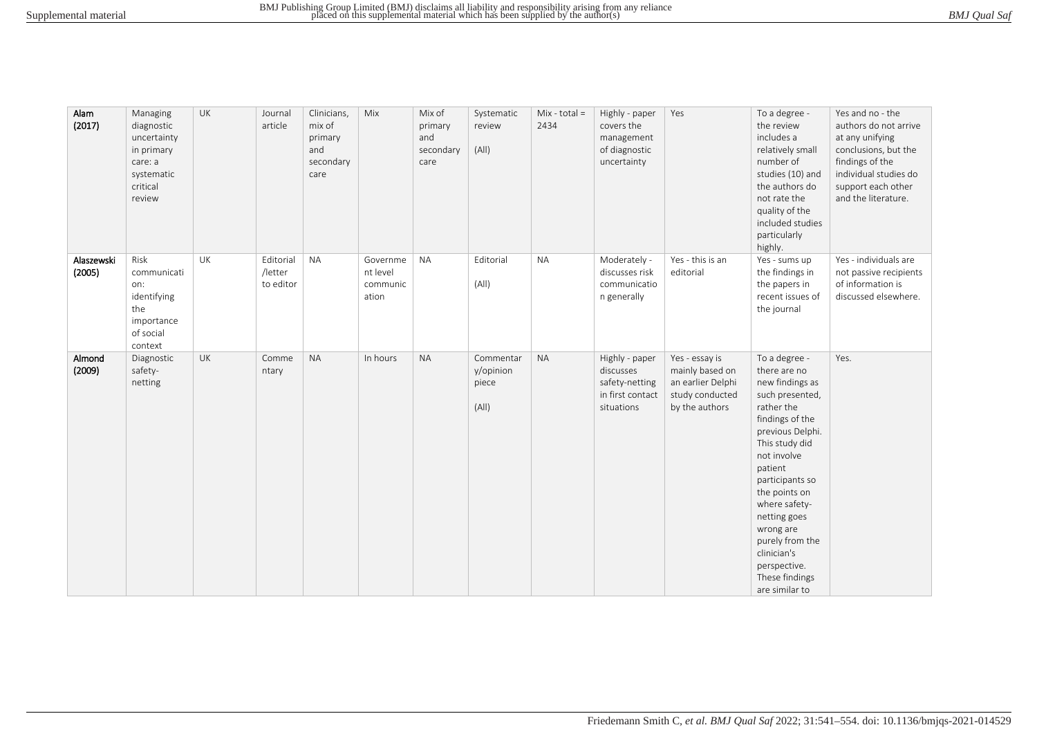|  | BMJ Qual Saf |  |
|--|--------------|--|
|--|--------------|--|

| Alam<br>(2017)       | Managing<br>diagnostic<br>uncertainty<br>in primary<br>care: a<br>systematic<br>critical<br>review | UK        | Journal<br>article                | Clinicians,<br>mix of<br>primary<br>and<br>secondary<br>care | Mix                                       | Mix of<br>primary<br>and<br>secondary<br>care | Systematic<br>review<br>(A  )            | $Mix - total =$<br>2434 | Highly - paper<br>covers the<br>management<br>of diagnostic<br>uncertainty      | Yes                                                                                         | To a degree -<br>the review<br>includes a<br>relatively small<br>number of<br>studies (10) and<br>the authors do<br>not rate the<br>quality of the<br>included studies<br>particularly<br>highly.                                                                                                                                            | Yes and no - the<br>authors do not arrive<br>at any unifying<br>conclusions, but the<br>findings of the<br>individual studies do<br>support each other<br>and the literature. |
|----------------------|----------------------------------------------------------------------------------------------------|-----------|-----------------------------------|--------------------------------------------------------------|-------------------------------------------|-----------------------------------------------|------------------------------------------|-------------------------|---------------------------------------------------------------------------------|---------------------------------------------------------------------------------------------|----------------------------------------------------------------------------------------------------------------------------------------------------------------------------------------------------------------------------------------------------------------------------------------------------------------------------------------------|-------------------------------------------------------------------------------------------------------------------------------------------------------------------------------|
| Alaszewski<br>(2005) | Risk<br>communicati<br>on:<br>identifying<br>the<br>importance<br>of social<br>context             | <b>UK</b> | Editorial<br>/letter<br>to editor | <b>NA</b>                                                    | Governme<br>nt level<br>communic<br>ation | <b>NA</b>                                     | Editorial<br>(A  )                       | <b>NA</b>               | Moderately -<br>discusses risk<br>communicatio<br>n generally                   | Yes - this is an<br>editorial                                                               | Yes - sums up<br>the findings in<br>the papers in<br>recent issues of<br>the journal                                                                                                                                                                                                                                                         | Yes - individuals are<br>not passive recipients<br>of information is<br>discussed elsewhere.                                                                                  |
| Almond<br>(2009)     | Diagnostic<br>safety-<br>netting                                                                   | UK        | Comme<br>ntary                    | <b>NA</b>                                                    | In hours                                  | <b>NA</b>                                     | Commentar<br>y/opinion<br>piece<br>(A  ) | <b>NA</b>               | Highly - paper<br>discusses<br>safety-netting<br>in first contact<br>situations | Yes - essay is<br>mainly based on<br>an earlier Delphi<br>study conducted<br>by the authors | To a degree -<br>there are no<br>new findings as<br>such presented,<br>rather the<br>findings of the<br>previous Delphi.<br>This study did<br>not involve<br>patient<br>participants so<br>the points on<br>where safety-<br>netting goes<br>wrong are<br>purely from the<br>clinician's<br>perspective.<br>These findings<br>are similar to | Yes.                                                                                                                                                                          |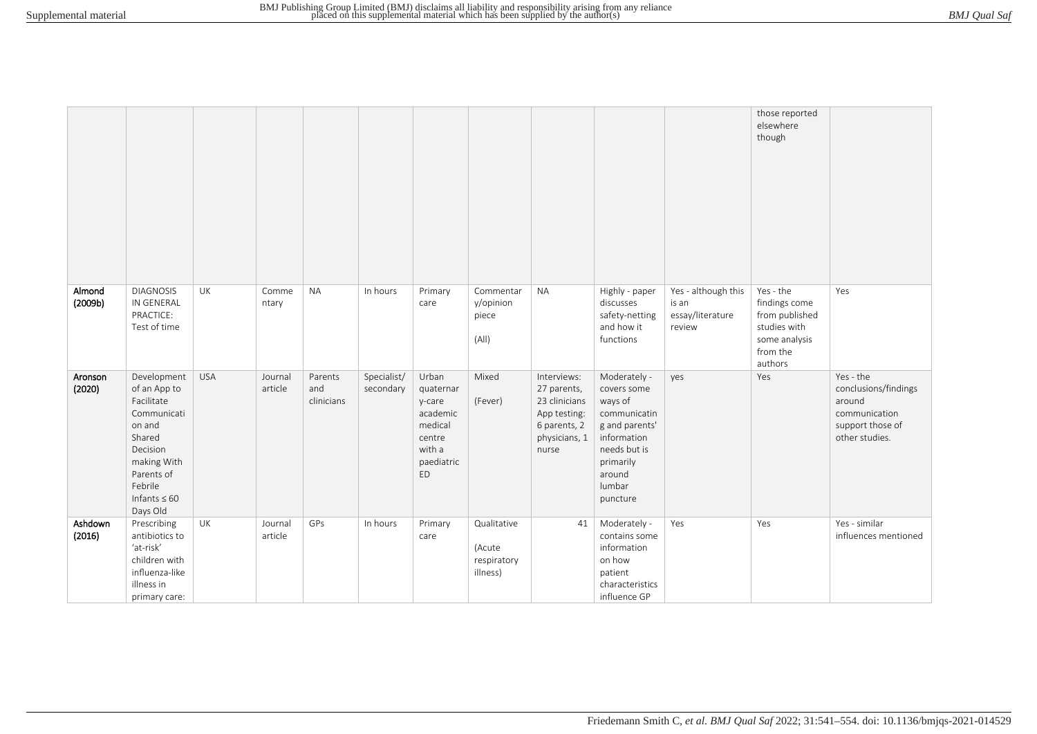|                   |                                                                                                                                                                   |            |                    |                              |                          |                                                                                             |                                                  |                                                                                                       |                                                                                                                                                      |                                                            | those reported<br>elsewhere<br>though                                                                |                                                                                                    |
|-------------------|-------------------------------------------------------------------------------------------------------------------------------------------------------------------|------------|--------------------|------------------------------|--------------------------|---------------------------------------------------------------------------------------------|--------------------------------------------------|-------------------------------------------------------------------------------------------------------|------------------------------------------------------------------------------------------------------------------------------------------------------|------------------------------------------------------------|------------------------------------------------------------------------------------------------------|----------------------------------------------------------------------------------------------------|
| Almond<br>(2009b) | <b>DIAGNOSIS</b><br>IN GENERAL<br>PRACTICE:<br>Test of time                                                                                                       | UK         | Comme<br>ntary     | <b>NA</b>                    | In hours                 | Primary<br>care                                                                             | Commentar<br>y/opinion<br>piece<br>(A  )         | <b>NA</b>                                                                                             | Highly - paper<br>discusses<br>safety-netting<br>and how it<br>functions                                                                             | Yes - although this<br>is an<br>essay/literature<br>review | Yes - the<br>findings come<br>from published<br>studies with<br>some analysis<br>from the<br>authors | Yes                                                                                                |
| Aronson<br>(2020) | Development<br>of an App to<br>Facilitate<br>Communicati<br>on and<br>Shared<br>Decision<br>making With<br>Parents of<br>Febrile<br>Infants $\leq 60$<br>Days Old | <b>USA</b> | Journal<br>article | Parents<br>and<br>clinicians | Specialist/<br>secondary | Urban<br>quaternar<br>y-care<br>academic<br>medical<br>centre<br>with a<br>paediatric<br>ED | Mixed<br>(Fever)                                 | Interviews:<br>27 parents,<br>23 clinicians<br>App testing:<br>6 parents, 2<br>physicians, 1<br>nurse | Moderately -<br>covers some<br>ways of<br>communicatin<br>g and parents'<br>information<br>needs but is<br>primarily<br>around<br>lumbar<br>puncture | yes                                                        | Yes                                                                                                  | Yes - the<br>conclusions/findings<br>around<br>communication<br>support those of<br>other studies. |
| Ashdown<br>(2016) | Prescribing<br>antibiotics to<br>'at-risk'<br>children with<br>influenza-like<br>illness in<br>primary care:                                                      | UK         | Journal<br>article | GPs                          | In hours                 | Primary<br>care                                                                             | Qualitative<br>(Acute<br>respiratory<br>illness) | 41                                                                                                    | Moderately -<br>contains some<br>information<br>on how<br>patient<br>characteristics<br>influence GP                                                 | Yes                                                        | Yes                                                                                                  | Yes - similar<br>influences mentioned                                                              |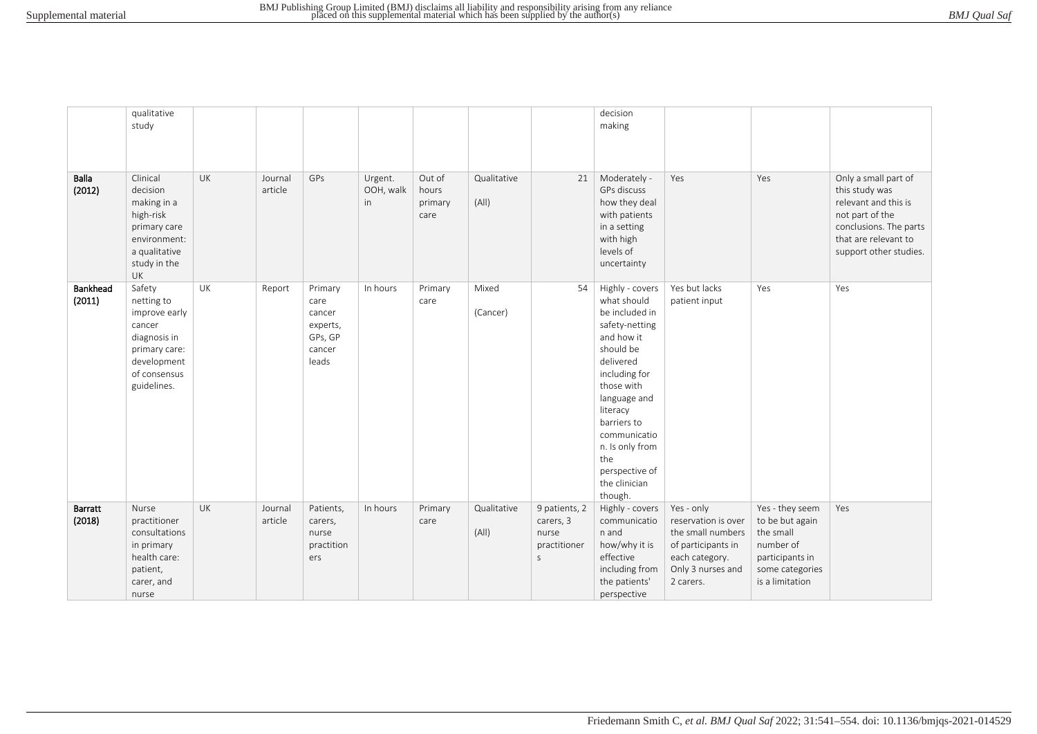| <b>BMJ</b> Qual Saf |  |  |
|---------------------|--|--|
|---------------------|--|--|

|                    | qualitative                                                                                                                    |           |                    |                                                                     |                            |                                    |                      |                                                          | decision                                                                                                                                                                                                                                                                     |                                                                                                                                  |                                                                                                                       |                                                                                                                                                               |
|--------------------|--------------------------------------------------------------------------------------------------------------------------------|-----------|--------------------|---------------------------------------------------------------------|----------------------------|------------------------------------|----------------------|----------------------------------------------------------|------------------------------------------------------------------------------------------------------------------------------------------------------------------------------------------------------------------------------------------------------------------------------|----------------------------------------------------------------------------------------------------------------------------------|-----------------------------------------------------------------------------------------------------------------------|---------------------------------------------------------------------------------------------------------------------------------------------------------------|
|                    | study                                                                                                                          |           |                    |                                                                     |                            |                                    |                      |                                                          | making                                                                                                                                                                                                                                                                       |                                                                                                                                  |                                                                                                                       |                                                                                                                                                               |
|                    |                                                                                                                                |           |                    |                                                                     |                            |                                    |                      |                                                          |                                                                                                                                                                                                                                                                              |                                                                                                                                  |                                                                                                                       |                                                                                                                                                               |
|                    |                                                                                                                                |           |                    |                                                                     |                            |                                    |                      |                                                          |                                                                                                                                                                                                                                                                              |                                                                                                                                  |                                                                                                                       |                                                                                                                                                               |
|                    |                                                                                                                                |           |                    |                                                                     |                            |                                    |                      |                                                          |                                                                                                                                                                                                                                                                              |                                                                                                                                  |                                                                                                                       |                                                                                                                                                               |
| Balla<br>(2012)    | Clinical<br>decision<br>making in a<br>high-risk<br>primary care<br>environment:<br>a qualitative<br>study in the<br><b>UK</b> | <b>UK</b> | Journal<br>article | GPs                                                                 | Urgent.<br>OOH, walk<br>in | Out of<br>hours<br>primary<br>care | Qualitative<br>(A  ) | 21                                                       | Moderately -<br>GPs discuss<br>how they deal<br>with patients<br>in a setting<br>with high<br>levels of<br>uncertainty                                                                                                                                                       | Yes                                                                                                                              | Yes                                                                                                                   | Only a small part of<br>this study was<br>relevant and this is<br>not part of the<br>conclusions. The parts<br>that are relevant to<br>support other studies. |
| Bankhead<br>(2011) | Safety<br>netting to<br>improve early<br>cancer<br>diagnosis in<br>primary care:<br>development<br>of consensus<br>guidelines. | UK        | Report             | Primary<br>care<br>cancer<br>experts,<br>GPs, GP<br>cancer<br>leads | In hours                   | Primary<br>care                    | Mixed<br>(Cancer)    | 54                                                       | Highly - covers<br>what should<br>be included in<br>safety-netting<br>and how it<br>should be<br>delivered<br>including for<br>those with<br>language and<br>literacy<br>barriers to<br>communicatio<br>n. Is only from<br>the<br>perspective of<br>the clinician<br>though. | Yes but lacks<br>patient input                                                                                                   | Yes                                                                                                                   | Yes                                                                                                                                                           |
| Barratt<br>(2018)  | Nurse<br>practitioner<br>consultations<br>in primary<br>health care:<br>patient,<br>carer, and<br>nurse                        | UK        | Journal<br>article | Patients,<br>carers,<br>nurse<br>practition<br>ers                  | In hours                   | Primary<br>care                    | Qualitative<br>(A  ) | 9 patients, 2<br>carers, 3<br>nurse<br>practitioner<br>S | Highly - covers<br>communicatio<br>n and<br>how/why it is<br>effective<br>including from<br>the patients'<br>perspective                                                                                                                                                     | Yes - only<br>reservation is over<br>the small numbers<br>of participants in<br>each category.<br>Only 3 nurses and<br>2 carers. | Yes - they seem<br>to be but again<br>the small<br>number of<br>participants in<br>some categories<br>is a limitation | Yes                                                                                                                                                           |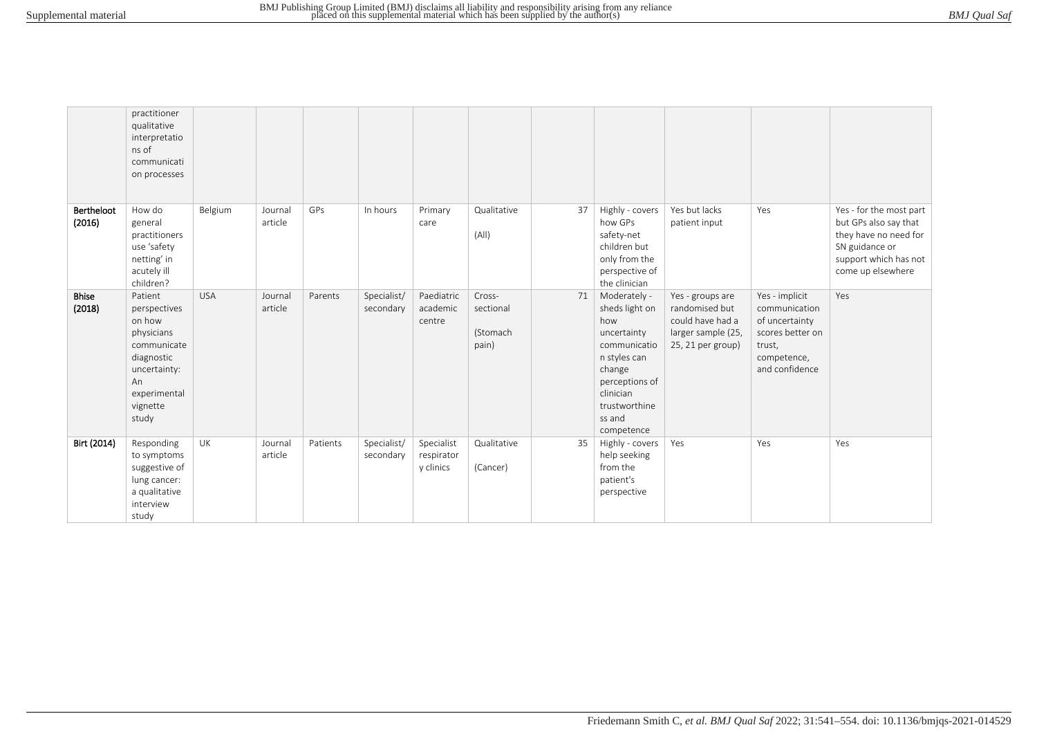| <b>BMJ</b> Qual Saf |  |  |
|---------------------|--|--|
|---------------------|--|--|

|                        | practitioner<br>qualitative<br>interpretatio<br>ns of<br>communicati<br>on processes                                                    |            |                    |          |                          |                                       |                                          |    |                                                                                                                                                                        |                                                                                                   |                                                                                                                  |                                                                                                                                           |
|------------------------|-----------------------------------------------------------------------------------------------------------------------------------------|------------|--------------------|----------|--------------------------|---------------------------------------|------------------------------------------|----|------------------------------------------------------------------------------------------------------------------------------------------------------------------------|---------------------------------------------------------------------------------------------------|------------------------------------------------------------------------------------------------------------------|-------------------------------------------------------------------------------------------------------------------------------------------|
| Bertheloot<br>(2016)   | How do<br>general<br>practitioners<br>use 'safety<br>netting' in<br>acutely ill<br>children?                                            | Belgium    | Journal<br>article | GPs      | In hours                 | Primary<br>care                       | Qualitative<br>(A  )                     | 37 | Highly - covers<br>how GPs<br>safety-net<br>children but<br>only from the<br>perspective of<br>the clinician                                                           | Yes but lacks<br>patient input                                                                    | Yes                                                                                                              | Yes - for the most part<br>but GPs also say that<br>they have no need for<br>SN guidance or<br>support which has not<br>come up elsewhere |
| <b>Bhise</b><br>(2018) | Patient<br>perspectives<br>on how<br>physicians<br>communicate<br>diagnostic<br>uncertainty:<br>An<br>experimental<br>vignette<br>study | <b>USA</b> | Journal<br>article | Parents  | Specialist/<br>secondary | Paediatric<br>academic<br>centre      | Cross-<br>sectional<br>(Stomach<br>pain) | 71 | Moderately -<br>sheds light on<br>how<br>uncertainty<br>communicatio<br>n styles can<br>change<br>perceptions of<br>clinician<br>trustworthine<br>ss and<br>competence | Yes - groups are<br>randomised but<br>could have had a<br>larger sample (25,<br>25, 21 per group) | Yes - implicit<br>communication<br>of uncertainty<br>scores better on<br>trust,<br>competence,<br>and confidence | Yes                                                                                                                                       |
| Birt (2014)            | Responding<br>to symptoms<br>suggestive of<br>lung cancer:<br>a qualitative<br>interview<br>study                                       | UK         | Journal<br>article | Patients | Specialist/<br>secondary | Specialist<br>respirator<br>y clinics | Qualitative<br>(Cancer)                  | 35 | Highly - covers<br>help seeking<br>from the<br>patient's<br>perspective                                                                                                | Yes                                                                                               | Yes                                                                                                              | Yes                                                                                                                                       |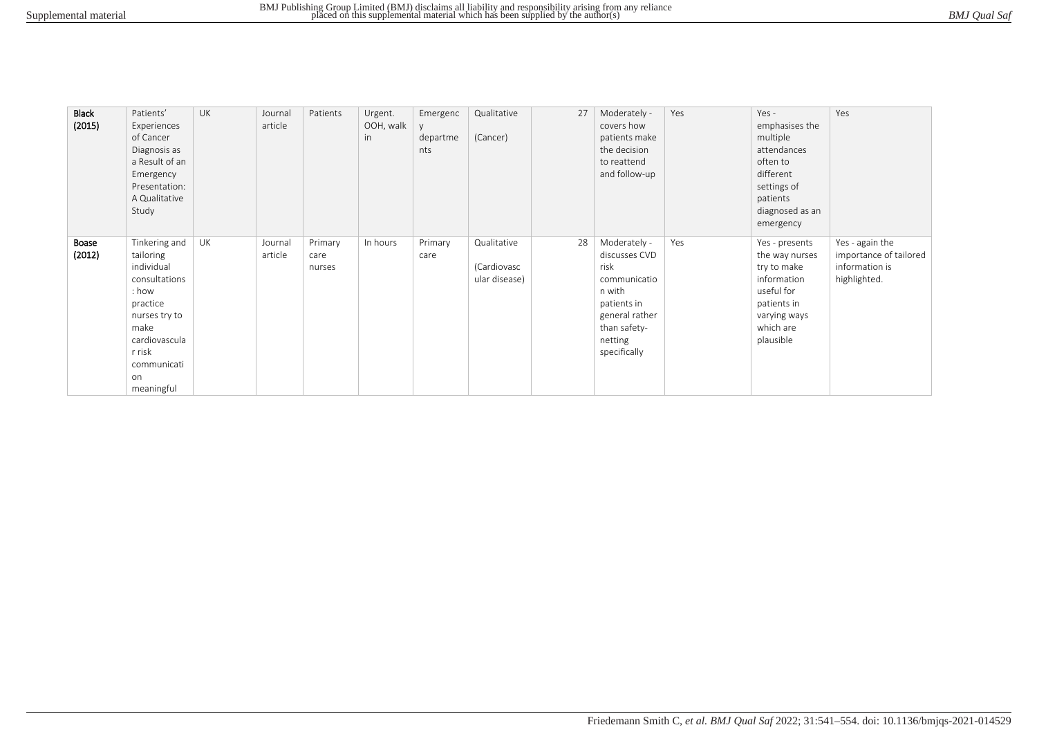| <b>Black</b><br>(2015) | Patients'<br>Experiences<br>of Cancer<br>Diagnosis as<br>a Result of an<br>Emergency<br>Presentation:<br>A Qualitative<br>Study                                       | <b>UK</b> | Journal<br>article | Patients                  | Urgent.<br>OOH, walk<br>in | Emergenc<br>departme<br>nts | Qualitative<br>(Cancer)                     | 27 | Moderately -<br>covers how<br>patients make<br>the decision<br>to reattend<br>and follow-up                                                 | Yes | $Yes -$<br>emphasises the<br>multiple<br>attendances<br>often to<br>different<br>settings of<br>patients<br>diagnosed as an<br>emergency | Yes                                                                         |
|------------------------|-----------------------------------------------------------------------------------------------------------------------------------------------------------------------|-----------|--------------------|---------------------------|----------------------------|-----------------------------|---------------------------------------------|----|---------------------------------------------------------------------------------------------------------------------------------------------|-----|------------------------------------------------------------------------------------------------------------------------------------------|-----------------------------------------------------------------------------|
| Boase<br>(2012)        | Tinkering and<br>tailoring<br>individual<br>consultations<br>: how<br>practice<br>nurses try to<br>make<br>cardiovascula<br>r risk<br>communicati<br>on<br>meaningful | UK        | Journal<br>article | Primary<br>care<br>nurses | In hours                   | Primary<br>care             | Qualitative<br>(Cardiovasc<br>ular disease) | 28 | Moderately -<br>discusses CVD<br>risk<br>communicatio<br>n with<br>patients in<br>general rather<br>than safety-<br>netting<br>specifically | Yes | Yes - presents<br>the way nurses<br>try to make<br>information<br>useful for<br>patients in<br>varying ways<br>which are<br>plausible    | Yes - again the<br>importance of tailored<br>information is<br>highlighted. |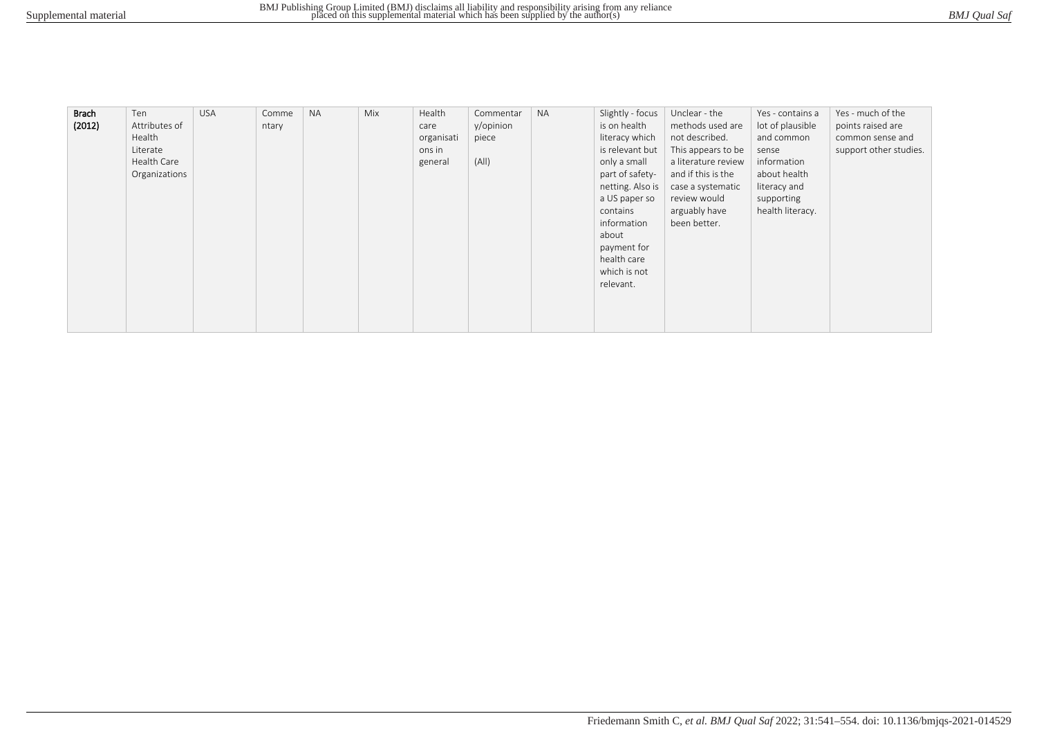| BMJ Qual Saf |
|--------------|
|--------------|

| <b>Brach</b> | Ten           | <b>USA</b> | Comme | <b>NA</b> | Mix | Health     | Commentar | <b>NA</b> | Slightly - focus | Unclear - the       | Yes - contains a | Yes - much of the      |
|--------------|---------------|------------|-------|-----------|-----|------------|-----------|-----------|------------------|---------------------|------------------|------------------------|
| (2012)       | Attributes of |            | ntary |           |     | care       | y/opinion |           | is on health     | methods used are    | lot of plausible | points raised are      |
|              | Health        |            |       |           |     | organisati | piece     |           | literacy which   | not described.      | and common       | common sense and       |
|              | Literate      |            |       |           |     | ons in     |           |           | is relevant but  | This appears to be  | sense            | support other studies. |
|              | Health Care   |            |       |           |     | general    | (A  )     |           | only a small     | a literature review | information      |                        |
|              | Organizations |            |       |           |     |            |           |           | part of safety-  | and if this is the  | about health     |                        |
|              |               |            |       |           |     |            |           |           | netting. Also is | case a systematic   | literacy and     |                        |
|              |               |            |       |           |     |            |           |           | a US paper so    | review would        | supporting       |                        |
|              |               |            |       |           |     |            |           |           | contains         | arguably have       | health literacy. |                        |
|              |               |            |       |           |     |            |           |           | information      | been better.        |                  |                        |
|              |               |            |       |           |     |            |           |           | about            |                     |                  |                        |
|              |               |            |       |           |     |            |           |           | payment for      |                     |                  |                        |
|              |               |            |       |           |     |            |           |           | health care      |                     |                  |                        |
|              |               |            |       |           |     |            |           |           | which is not     |                     |                  |                        |
|              |               |            |       |           |     |            |           |           | relevant.        |                     |                  |                        |
|              |               |            |       |           |     |            |           |           |                  |                     |                  |                        |
|              |               |            |       |           |     |            |           |           |                  |                     |                  |                        |
|              |               |            |       |           |     |            |           |           |                  |                     |                  |                        |
|              |               |            |       |           |     |            |           |           |                  |                     |                  |                        |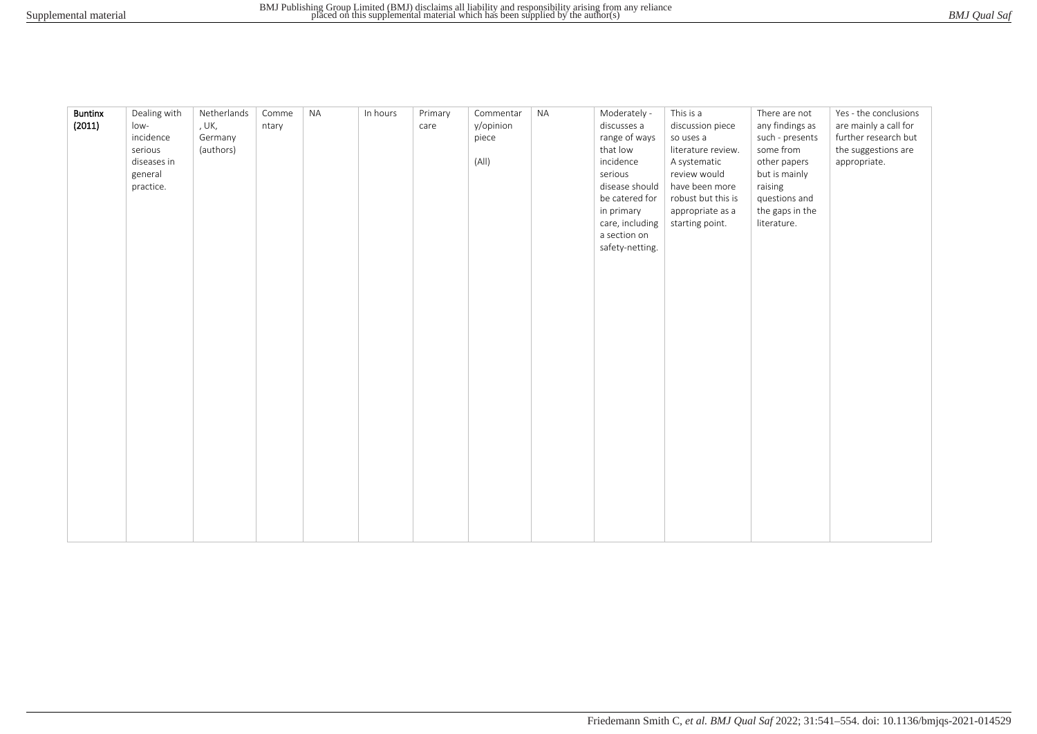| BMJ Qual Saf |  |
|--------------|--|
|              |  |

| <b>Buntinx</b><br>(2011) | Dealing with<br>low-<br>incidence<br>serious<br>diseases in<br>general<br>practice. | Netherlands<br>, UK,<br>Germany<br>(authors) | Comme<br>ntary | <b>NA</b> | In hours | Primary<br>care | Commentar<br>y/opinion<br>piece<br>(A  ) | <b>NA</b> | Moderately -<br>discusses a<br>range of ways<br>that low<br>incidence<br>serious<br>disease should<br>be catered for<br>in primary<br>care, including<br>a section on<br>safety-netting. | This is a<br>discussion piece<br>so uses a<br>literature review.<br>A systematic<br>review would<br>have been more<br>robust but this is<br>appropriate as a<br>starting point. | There are not<br>any findings as<br>such - presents<br>some from<br>other papers<br>but is mainly<br>raising<br>questions and<br>the gaps in the<br>literature. | Yes - the conclusions<br>are mainly a call for<br>further research but<br>the suggestions are<br>appropriate. |
|--------------------------|-------------------------------------------------------------------------------------|----------------------------------------------|----------------|-----------|----------|-----------------|------------------------------------------|-----------|------------------------------------------------------------------------------------------------------------------------------------------------------------------------------------------|---------------------------------------------------------------------------------------------------------------------------------------------------------------------------------|-----------------------------------------------------------------------------------------------------------------------------------------------------------------|---------------------------------------------------------------------------------------------------------------|
|--------------------------|-------------------------------------------------------------------------------------|----------------------------------------------|----------------|-----------|----------|-----------------|------------------------------------------|-----------|------------------------------------------------------------------------------------------------------------------------------------------------------------------------------------------|---------------------------------------------------------------------------------------------------------------------------------------------------------------------------------|-----------------------------------------------------------------------------------------------------------------------------------------------------------------|---------------------------------------------------------------------------------------------------------------|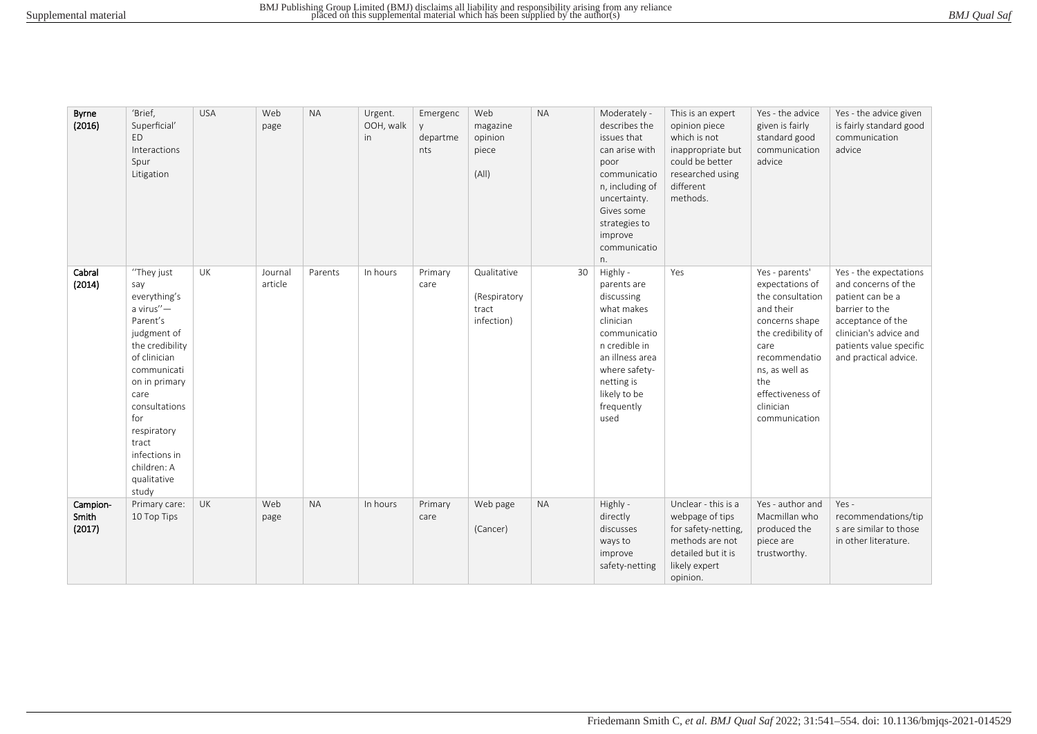| Byrne<br>(2016)             | 'Brief,<br>Superficial'<br>ED<br>Interactions<br>Spur<br>Litigation                                                                                                                                                                                          | <b>USA</b> | Web<br>page        | <b>NA</b> | Urgent.<br>OOH, walk<br>in | Emergenc<br>y.<br>departme<br>nts | Web<br>magazine<br>opinion<br>piece<br>(A  )       | <b>NA</b> | Moderately -<br>describes the<br>issues that<br>can arise with<br>poor<br>communicatio<br>n, including of<br>uncertainty.<br>Gives some<br>strategies to<br>improve<br>communicatio<br>n. | This is an expert<br>opinion piece<br>which is not<br>inappropriate but<br>could be better<br>researched using<br>different<br>methods. | Yes - the advice<br>given is fairly<br>standard good<br>communication<br>advice                                                                                                                                | Yes - the advice given<br>is fairly standard good<br>communication<br>advice                                                                                                           |
|-----------------------------|--------------------------------------------------------------------------------------------------------------------------------------------------------------------------------------------------------------------------------------------------------------|------------|--------------------|-----------|----------------------------|-----------------------------------|----------------------------------------------------|-----------|-------------------------------------------------------------------------------------------------------------------------------------------------------------------------------------------|-----------------------------------------------------------------------------------------------------------------------------------------|----------------------------------------------------------------------------------------------------------------------------------------------------------------------------------------------------------------|----------------------------------------------------------------------------------------------------------------------------------------------------------------------------------------|
| Cabral<br>(2014)            | "They just<br>say<br>everything's<br>a virus"-<br>Parent's<br>judgment of<br>the credibility<br>of clinician<br>communicati<br>on in primary<br>care<br>consultations<br>for<br>respiratory<br>tract<br>infections in<br>children: A<br>qualitative<br>study | UK         | Journal<br>article | Parents   | In hours                   | Primary<br>care                   | Qualitative<br>(Respiratory<br>tract<br>infection) | 30        | Highly -<br>parents are<br>discussing<br>what makes<br>clinician<br>communicatio<br>n credible in<br>an illness area<br>where safety-<br>netting is<br>likely to be<br>frequently<br>used | Yes                                                                                                                                     | Yes - parents'<br>expectations of<br>the consultation<br>and their<br>concerns shape<br>the credibility of<br>care<br>recommendatio<br>ns, as well as<br>the<br>effectiveness of<br>clinician<br>communication | Yes - the expectations<br>and concerns of the<br>patient can be a<br>barrier to the<br>acceptance of the<br>clinician's advice and<br>patients value specific<br>and practical advice. |
| Campion-<br>Smith<br>(2017) | Primary care:<br>10 Top Tips                                                                                                                                                                                                                                 | <b>UK</b>  | Web<br>page        | <b>NA</b> | In hours                   | Primary<br>care                   | Web page<br>(Cancer)                               | <b>NA</b> | Highly -<br>directly<br>discusses<br>ways to<br>improve<br>safety-netting                                                                                                                 | Unclear - this is a<br>webpage of tips<br>for safety-netting,<br>methods are not<br>detailed but it is<br>likely expert<br>opinion.     | Yes - author and<br>Macmillan who<br>produced the<br>piece are<br>trustworthy.                                                                                                                                 | Yes-<br>recommendations/tip<br>s are similar to those<br>in other literature.                                                                                                          |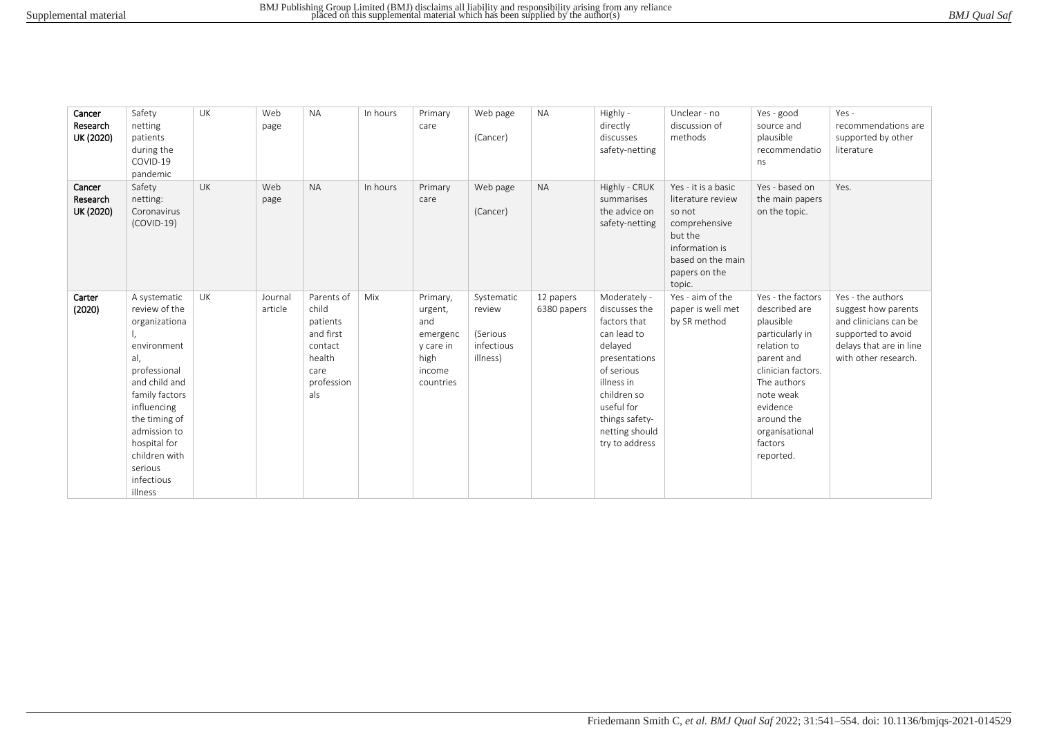| BMJ Qual Saf |
|--------------|
|--------------|

| Cancer<br>Research<br>UK (2020) | Safety<br>netting<br>patients<br>during the<br>COVID-19<br>pandemic                                                                                                                                                                          | <b>UK</b> | Web<br>page        | <b>NA</b>                                                                                      | In hours | Primary<br>care                                                                    | Web page<br>(Cancer)                                       | <b>NA</b>                | Highly -<br>directly<br>discusses<br>safety-netting                                                                                                                                                     | Unclear - no<br>discussion of<br>methods                                                                                                         | Yes - good<br>source and<br>plausible<br>recommendatio<br>ns                                                                                                                                                          | $Yes -$<br>recommendations are<br>supported by other<br>literature                                                                         |
|---------------------------------|----------------------------------------------------------------------------------------------------------------------------------------------------------------------------------------------------------------------------------------------|-----------|--------------------|------------------------------------------------------------------------------------------------|----------|------------------------------------------------------------------------------------|------------------------------------------------------------|--------------------------|---------------------------------------------------------------------------------------------------------------------------------------------------------------------------------------------------------|--------------------------------------------------------------------------------------------------------------------------------------------------|-----------------------------------------------------------------------------------------------------------------------------------------------------------------------------------------------------------------------|--------------------------------------------------------------------------------------------------------------------------------------------|
| Cancer<br>Research<br>UK (2020) | Safety<br>netting:<br>Coronavirus<br>$(COVID-19)$                                                                                                                                                                                            | <b>UK</b> | Web<br>page        | <b>NA</b>                                                                                      | In hours | Primary<br>care                                                                    | Web page<br>(Cancer)                                       | <b>NA</b>                | Highly - CRUK<br>summarises<br>the advice on<br>safety-netting                                                                                                                                          | Yes - it is a basic<br>literature review<br>so not<br>comprehensive<br>but the<br>information is<br>based on the main<br>papers on the<br>topic. | Yes - based on<br>the main papers<br>on the topic.                                                                                                                                                                    | Yes.                                                                                                                                       |
| Carter<br>(2020)                | A systematic<br>review of the<br>organizationa<br>environment<br>al,<br>professional<br>and child and<br>family factors<br>influencing<br>the timing of<br>admission to<br>hospital for<br>children with<br>serious<br>infectious<br>illness | UK        | Journal<br>article | Parents of<br>child<br>patients<br>and first<br>contact<br>health<br>care<br>profession<br>als | Mix      | Primary,<br>urgent,<br>and<br>emergenc<br>y care in<br>high<br>income<br>countries | Systematic<br>review<br>(Serious<br>infectious<br>illness) | 12 papers<br>6380 papers | Moderately -<br>discusses the<br>factors that<br>can lead to<br>delayed<br>presentations<br>of serious<br>illness in<br>children so<br>useful for<br>things safety-<br>netting should<br>try to address | Yes - aim of the<br>paper is well met<br>by SR method                                                                                            | Yes - the factors<br>described are<br>plausible<br>particularly in<br>relation to<br>parent and<br>clinician factors.<br>The authors<br>note weak<br>evidence<br>around the<br>organisational<br>factors<br>reported. | Yes - the authors<br>suggest how parents<br>and clinicians can be<br>supported to avoid<br>delays that are in line<br>with other research. |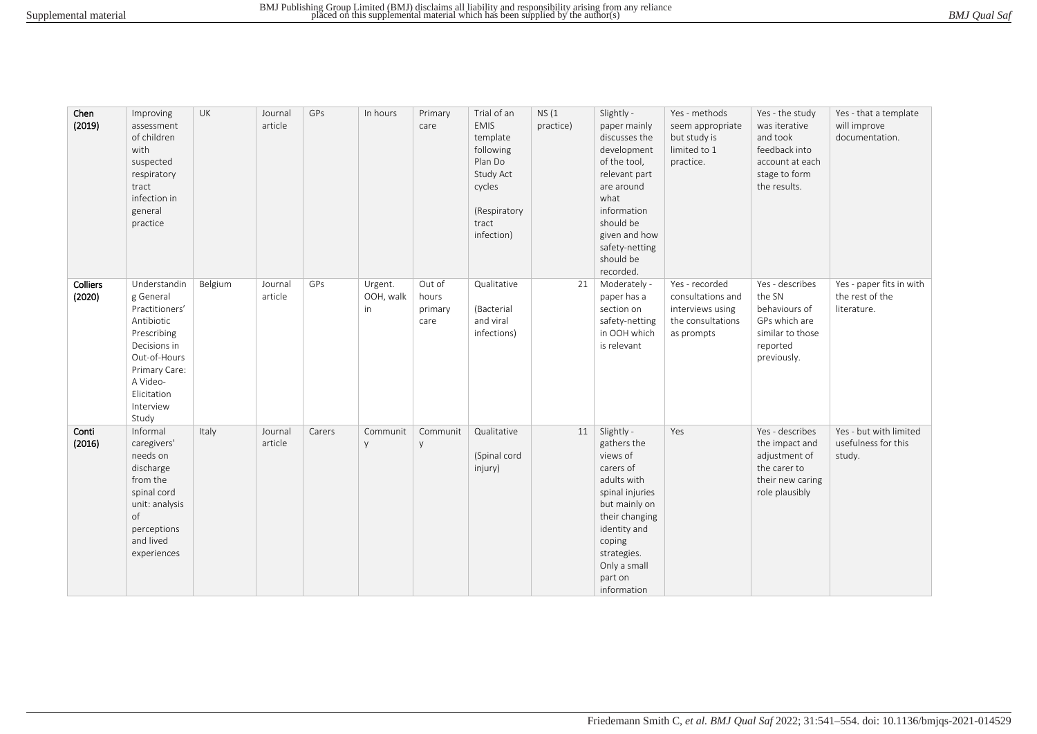| BMJ Qual Saf |  |
|--------------|--|
|--------------|--|

| Chen<br>(2019)     | Improving<br>assessment<br>of children<br>with<br>suspected<br>respiratory<br>tract<br>infection in<br>general<br>practice                                                 | UK      | Journal<br>article | GPs    | In hours                   | Primary<br>care                    | Trial of an<br><b>EMIS</b><br>template<br>following<br>Plan Do<br>Study Act<br>cycles<br>(Respiratory<br>tract<br>infection) | NS(1)<br>practice) | Slightly -<br>paper mainly<br>discusses the<br>development<br>of the tool,<br>relevant part<br>are around<br>what<br>information<br>should be<br>given and how<br>safety-netting<br>should be<br>recorded. | Yes - methods<br>seem appropriate<br>but study is<br>limited to 1<br>practice.             | Yes - the study<br>was iterative<br>and took<br>feedback into<br>account at each<br>stage to form<br>the results. | Yes - that a template<br>will improve<br>documentation.    |
|--------------------|----------------------------------------------------------------------------------------------------------------------------------------------------------------------------|---------|--------------------|--------|----------------------------|------------------------------------|------------------------------------------------------------------------------------------------------------------------------|--------------------|------------------------------------------------------------------------------------------------------------------------------------------------------------------------------------------------------------|--------------------------------------------------------------------------------------------|-------------------------------------------------------------------------------------------------------------------|------------------------------------------------------------|
| Colliers<br>(2020) | Understandin<br>g General<br>Practitioners'<br>Antibiotic<br>Prescribing<br>Decisions in<br>Out-of-Hours<br>Primary Care:<br>A Video-<br>Elicitation<br>Interview<br>Study | Belgium | Journal<br>article | GPs    | Urgent.<br>OOH, walk<br>in | Out of<br>hours<br>primary<br>care | Qualitative<br>(Bacterial<br>and viral<br>infections)                                                                        | 21                 | Moderately -<br>paper has a<br>section on<br>safety-netting<br>in OOH which<br>is relevant                                                                                                                 | Yes - recorded<br>consultations and<br>interviews using<br>the consultations<br>as prompts | Yes - describes<br>the SN<br>behaviours of<br>GPs which are<br>similar to those<br>reported<br>previously.        | Yes - paper fits in with<br>the rest of the<br>literature. |
| Conti<br>(2016)    | Informal<br>caregivers'<br>needs on<br>discharge<br>from the<br>spinal cord<br>unit: analysis<br>of<br>perceptions<br>and lived<br>experiences                             | Italy   | Journal<br>article | Carers | Communit<br>y              | Communit<br>y                      | Qualitative<br>(Spinal cord<br>injury)                                                                                       | 11                 | Slightly -<br>gathers the<br>views of<br>carers of<br>adults with<br>spinal injuries<br>but mainly on<br>their changing<br>identity and<br>coping<br>strategies.<br>Only a small<br>part on<br>information | Yes                                                                                        | Yes - describes<br>the impact and<br>adjustment of<br>the carer to<br>their new caring<br>role plausibly          | Yes - but with limited<br>usefulness for this<br>study.    |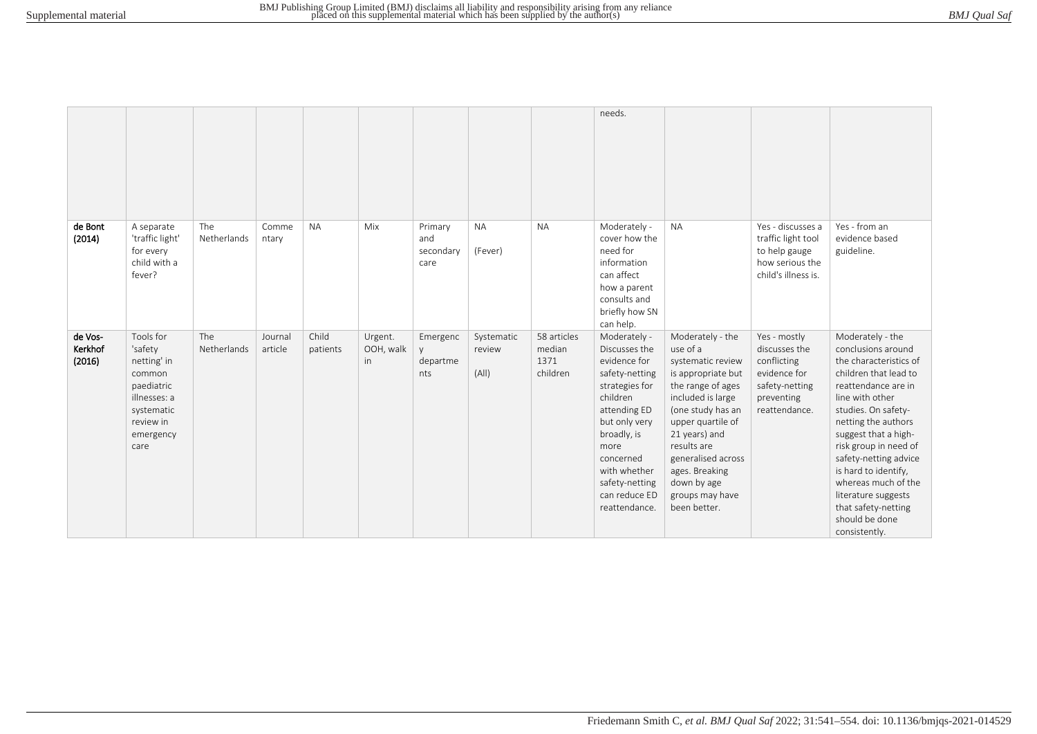|                              |                                                                                                                             |                    |                    |                   |                             |                                     |                               |                                           | needs.                                                                                                                                                                                                                                 |                                                                                                                                                                                                                                                                                       |                                                                                                               |                                                                                                                                                                                                                                                                                                                                                                                             |
|------------------------------|-----------------------------------------------------------------------------------------------------------------------------|--------------------|--------------------|-------------------|-----------------------------|-------------------------------------|-------------------------------|-------------------------------------------|----------------------------------------------------------------------------------------------------------------------------------------------------------------------------------------------------------------------------------------|---------------------------------------------------------------------------------------------------------------------------------------------------------------------------------------------------------------------------------------------------------------------------------------|---------------------------------------------------------------------------------------------------------------|---------------------------------------------------------------------------------------------------------------------------------------------------------------------------------------------------------------------------------------------------------------------------------------------------------------------------------------------------------------------------------------------|
| de Bont<br>(2014)            | A separate<br>'traffic light'<br>for every<br>child with a<br>fever?                                                        | The<br>Netherlands | Comme<br>ntary     | <b>NA</b>         | Mix                         | Primary<br>and<br>secondary<br>care | <b>NA</b><br>(Fever)          | <b>NA</b>                                 | Moderately -<br>cover how the<br>need for<br>information<br>can affect<br>how a parent<br>consults and<br>briefly how SN<br>can help.                                                                                                  | <b>NA</b>                                                                                                                                                                                                                                                                             | Yes - discusses a<br>traffic light tool<br>to help gauge<br>how serious the<br>child's illness is.            | Yes - from an<br>evidence based<br>guideline.                                                                                                                                                                                                                                                                                                                                               |
| de Vos-<br>Kerkhof<br>(2016) | Tools for<br>'safety<br>netting' in<br>common<br>paediatric<br>illnesses: a<br>systematic<br>review in<br>emergency<br>care | The<br>Netherlands | Journal<br>article | Child<br>patients | Urgent.<br>OOH, walk<br>in. | Emergenc<br>V<br>departme<br>nts    | Systematic<br>review<br>(A  ) | 58 articles<br>median<br>1371<br>children | Moderately -<br>Discusses the<br>evidence for<br>safety-netting<br>strategies for<br>children<br>attending ED<br>but only very<br>broadly, is<br>more<br>concerned<br>with whether<br>safety-netting<br>can reduce ED<br>reattendance. | Moderately - the<br>use of a<br>systematic review<br>is appropriate but<br>the range of ages<br>included is large<br>(one study has an<br>upper quartile of<br>21 years) and<br>results are<br>generalised across<br>ages. Breaking<br>down by age<br>groups may have<br>been better. | Yes - mostly<br>discusses the<br>conflicting<br>evidence for<br>safety-netting<br>preventing<br>reattendance. | Moderately - the<br>conclusions around<br>the characteristics of<br>children that lead to<br>reattendance are in<br>line with other<br>studies. On safety-<br>netting the authors<br>suggest that a high-<br>risk group in need of<br>safety-netting advice<br>is hard to identify,<br>whereas much of the<br>literature suggests<br>that safety-netting<br>should be done<br>consistently. |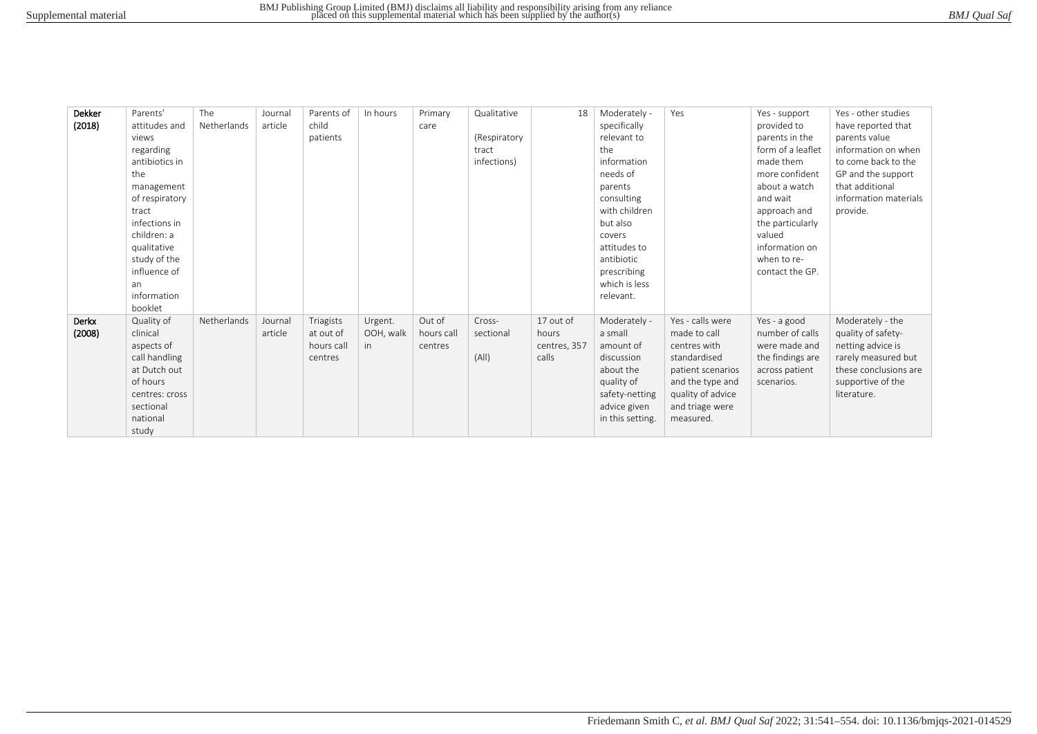| BMJ Qual Saf |
|--------------|
|--------------|

| Dekker | Parents'       | The         | Journal | Parents of | In hours  | Primary    | Qualitative  | 18           | Moderately -     | Yes               | Yes - support     | Yes - other studies   |
|--------|----------------|-------------|---------|------------|-----------|------------|--------------|--------------|------------------|-------------------|-------------------|-----------------------|
| (2018) | attitudes and  | Netherlands | article | child      |           | care       |              |              | specifically     |                   | provided to       | have reported that    |
|        | views          |             |         | patients   |           |            | (Respiratory |              | relevant to      |                   | parents in the    | parents value         |
|        | regarding      |             |         |            |           |            | tract        |              | the              |                   | form of a leaflet | information on when   |
|        | antibiotics in |             |         |            |           |            | infections)  |              | information      |                   | made them         | to come back to the   |
|        | the            |             |         |            |           |            |              |              | needs of         |                   | more confident    | GP and the support    |
|        | management     |             |         |            |           |            |              |              | parents          |                   | about a watch     | that additional       |
|        | of respiratory |             |         |            |           |            |              |              | consulting       |                   | and wait          | information materials |
|        | tract          |             |         |            |           |            |              |              | with children    |                   | approach and      | provide.              |
|        | infections in  |             |         |            |           |            |              |              | but also         |                   | the particularly  |                       |
|        | children: a    |             |         |            |           |            |              |              | covers           |                   | valued            |                       |
|        | qualitative    |             |         |            |           |            |              |              | attitudes to     |                   | information on    |                       |
|        | study of the   |             |         |            |           |            |              |              | antibiotic       |                   | when to re-       |                       |
|        | influence of   |             |         |            |           |            |              |              | prescribing      |                   | contact the GP.   |                       |
|        | an             |             |         |            |           |            |              |              | which is less    |                   |                   |                       |
|        | information    |             |         |            |           |            |              |              | relevant.        |                   |                   |                       |
|        | booklet        |             |         |            |           |            |              |              |                  |                   |                   |                       |
| Derkx  | Quality of     | Netherlands | Journal | Triagists  | Urgent.   | Out of     | Cross-       | 17 out of    | Moderately -     | Yes - calls were  | Yes - a good      | Moderately - the      |
| (2008) | clinical       |             | article | at out of  | OOH, walk | hours call | sectional    | hours        | a small          | made to call      | number of calls   | quality of safety-    |
|        | aspects of     |             |         | hours call | in.       | centres    |              | centres, 357 | amount of        | centres with      | were made and     | netting advice is     |
|        | call handling  |             |         | centres    |           |            | (A  )        | calls        | discussion       | standardised      | the findings are  | rarely measured but   |
|        | at Dutch out   |             |         |            |           |            |              |              | about the        | patient scenarios | across patient    | these conclusions are |
|        | of hours       |             |         |            |           |            |              |              | quality of       | and the type and  | scenarios.        | supportive of the     |
|        | centres: cross |             |         |            |           |            |              |              | safety-netting   | quality of advice |                   | literature.           |
|        | sectional      |             |         |            |           |            |              |              | advice given     | and triage were   |                   |                       |
|        | national       |             |         |            |           |            |              |              | in this setting. | measured.         |                   |                       |
|        | study          |             |         |            |           |            |              |              |                  |                   |                   |                       |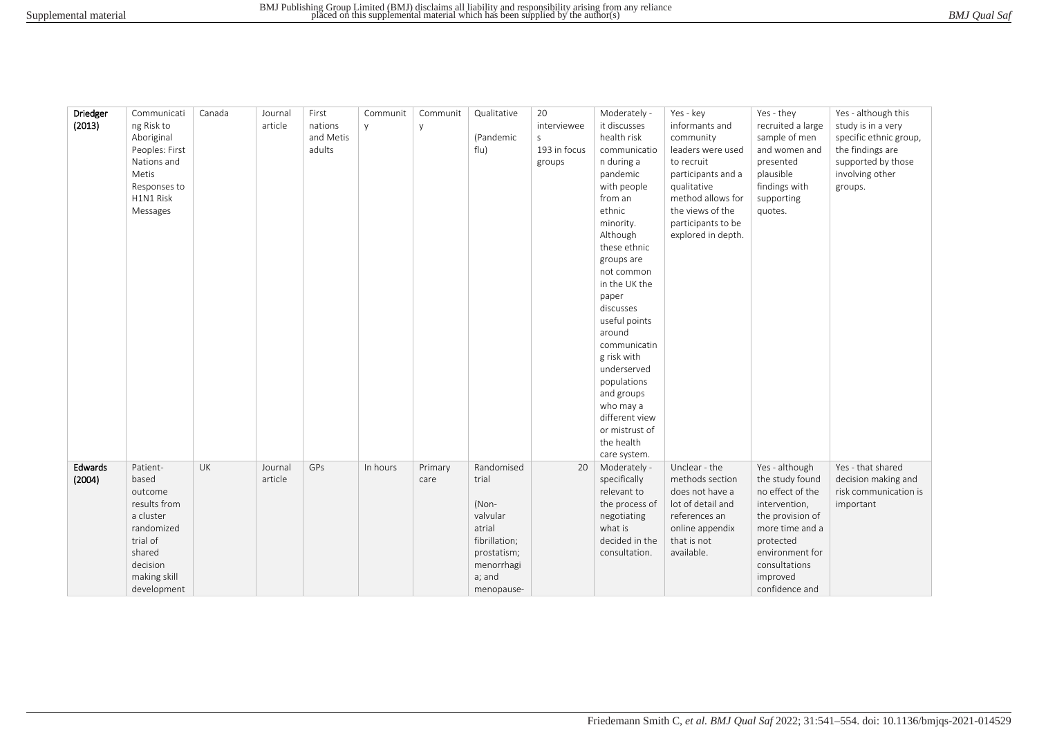| BMJ Qual Saf |
|--------------|
|--------------|

| Driedger | Communicati    | Canada | Journal | First     | Communit | Communit | Qualitative   | 20           | Moderately -   | Yes - key          | Yes - they        | Yes - although this    |
|----------|----------------|--------|---------|-----------|----------|----------|---------------|--------------|----------------|--------------------|-------------------|------------------------|
| (2013)   | ng Risk to     |        | article | nations   | y.       | y        |               | interviewee  | it discusses   | informants and     | recruited a large | study is in a very     |
|          | Aboriginal     |        |         | and Metis |          |          | (Pandemic     | $\mathsf{S}$ | health risk    | community          | sample of men     | specific ethnic group, |
|          | Peoples: First |        |         | adults    |          |          | flu)          | 193 in focus | communicatio   | leaders were used  | and women and     | the findings are       |
|          | Nations and    |        |         |           |          |          |               | groups       | n during a     | to recruit         | presented         | supported by those     |
|          | Metis          |        |         |           |          |          |               |              | pandemic       | participants and a | plausible         | involving other        |
|          | Responses to   |        |         |           |          |          |               |              | with people    | qualitative        | findings with     | groups.                |
|          | H1N1 Risk      |        |         |           |          |          |               |              | from an        | method allows for  | supporting        |                        |
|          | Messages       |        |         |           |          |          |               |              | ethnic         | the views of the   | quotes.           |                        |
|          |                |        |         |           |          |          |               |              | minority.      | participants to be |                   |                        |
|          |                |        |         |           |          |          |               |              | Although       | explored in depth. |                   |                        |
|          |                |        |         |           |          |          |               |              | these ethnic   |                    |                   |                        |
|          |                |        |         |           |          |          |               |              | groups are     |                    |                   |                        |
|          |                |        |         |           |          |          |               |              | not common     |                    |                   |                        |
|          |                |        |         |           |          |          |               |              | in the UK the  |                    |                   |                        |
|          |                |        |         |           |          |          |               |              | paper          |                    |                   |                        |
|          |                |        |         |           |          |          |               |              | discusses      |                    |                   |                        |
|          |                |        |         |           |          |          |               |              | useful points  |                    |                   |                        |
|          |                |        |         |           |          |          |               |              | around         |                    |                   |                        |
|          |                |        |         |           |          |          |               |              | communicatin   |                    |                   |                        |
|          |                |        |         |           |          |          |               |              | g risk with    |                    |                   |                        |
|          |                |        |         |           |          |          |               |              | underserved    |                    |                   |                        |
|          |                |        |         |           |          |          |               |              | populations    |                    |                   |                        |
|          |                |        |         |           |          |          |               |              | and groups     |                    |                   |                        |
|          |                |        |         |           |          |          |               |              | who may a      |                    |                   |                        |
|          |                |        |         |           |          |          |               |              | different view |                    |                   |                        |
|          |                |        |         |           |          |          |               |              | or mistrust of |                    |                   |                        |
|          |                |        |         |           |          |          |               |              | the health     |                    |                   |                        |
|          |                |        |         |           |          |          |               |              | care system.   |                    |                   |                        |
| Edwards  | Patient-       | UK     | Journal | GPs       | In hours | Primary  | Randomised    | 20           | Moderately -   | Unclear - the      | Yes - although    | Yes - that shared      |
| (2004)   | based          |        | article |           |          | care     | trial         |              | specifically   | methods section    | the study found   | decision making and    |
|          | outcome        |        |         |           |          |          |               |              | relevant to    | does not have a    | no effect of the  | risk communication is  |
|          | results from   |        |         |           |          |          | (Non-         |              | the process of | lot of detail and  | intervention,     | important              |
|          | a cluster      |        |         |           |          |          | valvular      |              | negotiating    | references an      | the provision of  |                        |
|          | randomized     |        |         |           |          |          | atrial        |              | what is        | online appendix    | more time and a   |                        |
|          | trial of       |        |         |           |          |          | fibrillation; |              | decided in the | that is not        | protected         |                        |
|          | shared         |        |         |           |          |          | prostatism;   |              | consultation.  | available.         | environment for   |                        |
|          | decision       |        |         |           |          |          | menorrhagi    |              |                |                    | consultations     |                        |
|          | making skill   |        |         |           |          |          | a; and        |              |                |                    | improved          |                        |
|          | development    |        |         |           |          |          | menopause-    |              |                |                    | confidence and    |                        |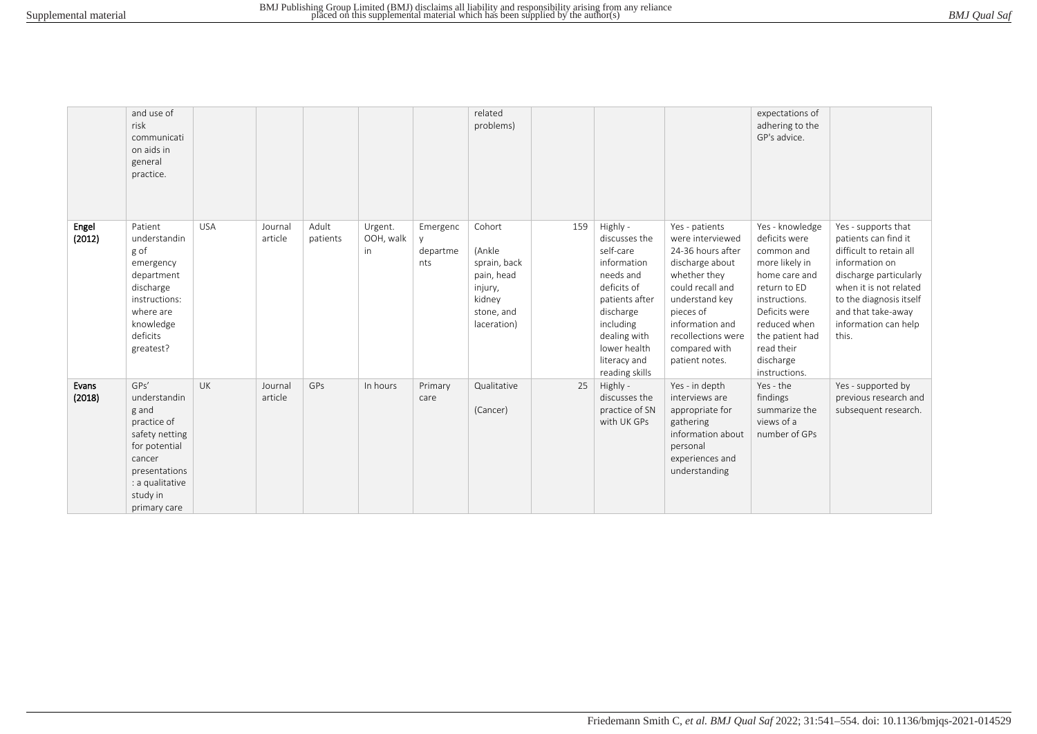|                 | and use of<br>risk<br>communicati<br>on aids in<br>general<br>practice.                                                                                   |            |                    |                   |                            |                             | related<br>problems)                                                                             |     |                                                                                                                                                                                                 |                                                                                                                                                                                                                           | expectations of<br>adhering to the<br>GP's advice.                                                                                                                                                                 |                                                                                                                                                                                                                                |
|-----------------|-----------------------------------------------------------------------------------------------------------------------------------------------------------|------------|--------------------|-------------------|----------------------------|-----------------------------|--------------------------------------------------------------------------------------------------|-----|-------------------------------------------------------------------------------------------------------------------------------------------------------------------------------------------------|---------------------------------------------------------------------------------------------------------------------------------------------------------------------------------------------------------------------------|--------------------------------------------------------------------------------------------------------------------------------------------------------------------------------------------------------------------|--------------------------------------------------------------------------------------------------------------------------------------------------------------------------------------------------------------------------------|
| Engel<br>(2012) | Patient<br>understandin<br>g of<br>emergency<br>department<br>discharge<br>instructions:<br>where are<br>knowledge<br>deficits<br>greatest?               | <b>USA</b> | Journal<br>article | Adult<br>patients | Urgent.<br>OOH, walk<br>in | Emergenc<br>departme<br>nts | Cohort<br>(Ankle<br>sprain, back<br>pain, head<br>injury,<br>kidney<br>stone, and<br>laceration) | 159 | Highly -<br>discusses the<br>self-care<br>information<br>needs and<br>deficits of<br>patients after<br>discharge<br>including<br>dealing with<br>lower health<br>literacy and<br>reading skills | Yes - patients<br>were interviewed<br>24-36 hours after<br>discharge about<br>whether they<br>could recall and<br>understand key<br>pieces of<br>information and<br>recollections were<br>compared with<br>patient notes. | Yes - knowledge<br>deficits were<br>common and<br>more likely in<br>home care and<br>return to ED<br>instructions.<br>Deficits were<br>reduced when<br>the patient had<br>read their<br>discharge<br>instructions. | Yes - supports that<br>patients can find it<br>difficult to retain all<br>information on<br>discharge particularly<br>when it is not related<br>to the diagnosis itself<br>and that take-away<br>information can help<br>this. |
| Evans<br>(2018) | GPs'<br>understandin<br>g and<br>practice of<br>safety netting<br>for potential<br>cancer<br>presentations<br>: a qualitative<br>study in<br>primary care | <b>UK</b>  | Journal<br>article | GPs               | In hours                   | Primary<br>care             | Qualitative<br>(Cancer)                                                                          | 25  | Highly -<br>discusses the<br>practice of SN<br>with UK GPs                                                                                                                                      | Yes - in depth<br>interviews are<br>appropriate for<br>gathering<br>information about<br>personal<br>experiences and<br>understanding                                                                                     | Yes - the<br>findings<br>summarize the<br>views of a<br>number of GPs                                                                                                                                              | Yes - supported by<br>previous research and<br>subsequent research.                                                                                                                                                            |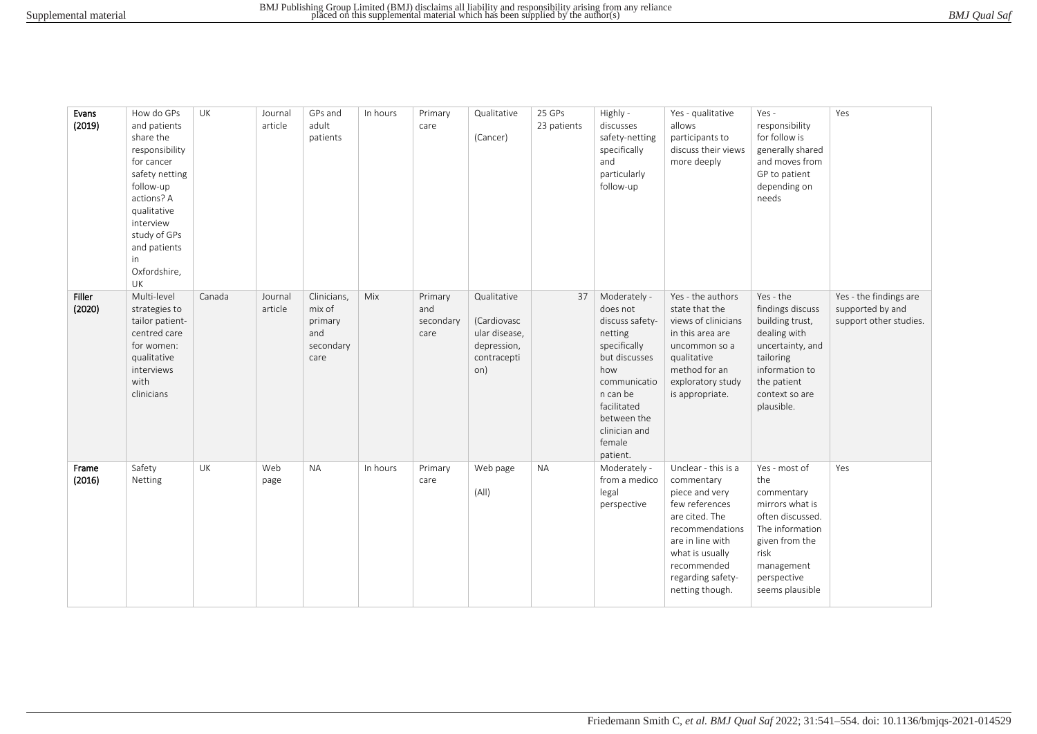| Evans<br>(2019)  | How do GPs<br>and patients<br>share the<br>responsibility<br>for cancer<br>safety netting<br>follow-up<br>actions? A<br>qualitative<br>interview<br>study of GPs<br>and patients<br>in<br>Oxfordshire,<br>UK | UK     | Journal<br>article | GPs and<br>adult<br>patients                                 | In hours | Primary<br>care                     | Qualitative<br>(Cancer)                                                          | 25 GPs<br>23 patients | Highly -<br>discusses<br>safety-netting<br>specifically<br>and<br>particularly<br>follow-up                                                                                                     | Yes - qualitative<br>allows<br>participants to<br>discuss their views<br>more deeply                                                                                                                     | Yes -<br>responsibility<br>for follow is<br>generally shared<br>and moves from<br>GP to patient<br>depending on<br>needs                                               | Yes                                                                  |
|------------------|--------------------------------------------------------------------------------------------------------------------------------------------------------------------------------------------------------------|--------|--------------------|--------------------------------------------------------------|----------|-------------------------------------|----------------------------------------------------------------------------------|-----------------------|-------------------------------------------------------------------------------------------------------------------------------------------------------------------------------------------------|----------------------------------------------------------------------------------------------------------------------------------------------------------------------------------------------------------|------------------------------------------------------------------------------------------------------------------------------------------------------------------------|----------------------------------------------------------------------|
| Filler<br>(2020) | Multi-level<br>strategies to<br>tailor patient-<br>centred care<br>for women:<br>qualitative<br>interviews<br>with<br>clinicians                                                                             | Canada | Journal<br>article | Clinicians,<br>mix of<br>primary<br>and<br>secondary<br>care | Mix      | Primary<br>and<br>secondary<br>care | Qualitative<br>(Cardiovasc<br>ular disease,<br>depression,<br>contracepti<br>on) | 37                    | Moderately -<br>does not<br>discuss safety-<br>netting<br>specifically<br>but discusses<br>how<br>communicatio<br>n can be<br>facilitated<br>between the<br>clinician and<br>female<br>patient. | Yes - the authors<br>state that the<br>views of clinicians<br>in this area are<br>uncommon so a<br>qualitative<br>method for an<br>exploratory study<br>is appropriate.                                  | Yes - the<br>findings discuss<br>building trust,<br>dealing with<br>uncertainty, and<br>tailoring<br>information to<br>the patient<br>context so are<br>plausible.     | Yes - the findings are<br>supported by and<br>support other studies. |
| Frame<br>(2016)  | Safety<br>Netting                                                                                                                                                                                            | UK     | Web<br>page        | <b>NA</b>                                                    | In hours | Primary<br>care                     | Web page<br>(A  )                                                                | <b>NA</b>             | Moderately -<br>from a medico<br>legal<br>perspective                                                                                                                                           | Unclear - this is a<br>commentary<br>piece and very<br>few references<br>are cited. The<br>recommendations<br>are in line with<br>what is usually<br>recommended<br>regarding safety-<br>netting though. | Yes - most of<br>the<br>commentary<br>mirrors what is<br>often discussed.<br>The information<br>given from the<br>risk<br>management<br>perspective<br>seems plausible | Yes                                                                  |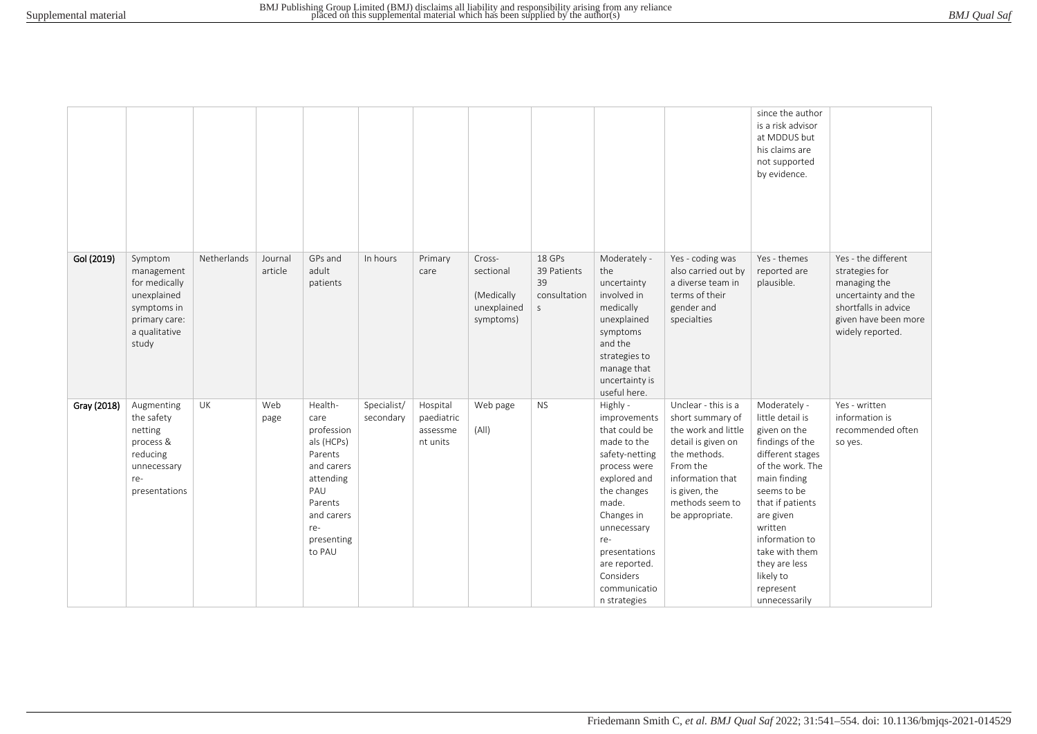|             |                                                                                                                 |             |                    |                                                                                                                                                  |                          |                                                |                                                               |                                                            |                                                                                                                                                                                                                                                       |                                                                                                                                                                                             | since the author<br>is a risk advisor<br>at MDDUS but<br>his claims are<br>not supported<br>by evidence.                                                                                                                                                                               |                                                                                                                                                  |
|-------------|-----------------------------------------------------------------------------------------------------------------|-------------|--------------------|--------------------------------------------------------------------------------------------------------------------------------------------------|--------------------------|------------------------------------------------|---------------------------------------------------------------|------------------------------------------------------------|-------------------------------------------------------------------------------------------------------------------------------------------------------------------------------------------------------------------------------------------------------|---------------------------------------------------------------------------------------------------------------------------------------------------------------------------------------------|----------------------------------------------------------------------------------------------------------------------------------------------------------------------------------------------------------------------------------------------------------------------------------------|--------------------------------------------------------------------------------------------------------------------------------------------------|
| Gol (2019)  | Symptom<br>management<br>for medically<br>unexplained<br>symptoms in<br>primary care:<br>a qualitative<br>study | Netherlands | Journal<br>article | GPs and<br>adult<br>patients                                                                                                                     | In hours                 | Primary<br>care                                | Cross-<br>sectional<br>(Medically<br>unexplained<br>symptoms) | 18 GPs<br>39 Patients<br>39<br>consultation<br>$\mathsf S$ | Moderately -<br>the<br>uncertainty<br>involved in<br>medically<br>unexplained<br>symptoms<br>and the<br>strategies to<br>manage that<br>uncertainty is<br>useful here.                                                                                | Yes - coding was<br>also carried out by<br>a diverse team in<br>terms of their<br>gender and<br>specialties                                                                                 | Yes - themes<br>reported are<br>plausible.                                                                                                                                                                                                                                             | Yes - the different<br>strategies for<br>managing the<br>uncertainty and the<br>shortfalls in advice<br>given have been more<br>widely reported. |
| Gray (2018) | Augmenting<br>the safety<br>netting<br>process &<br>reducing<br>unnecessary<br>re-<br>presentations             | UK          | Web<br>page        | Health-<br>care<br>profession<br>als (HCPs)<br>Parents<br>and carers<br>attending<br>PAU<br>Parents<br>and carers<br>re-<br>presenting<br>to PAU | Specialist/<br>secondary | Hospital<br>paediatric<br>assessme<br>nt units | Web page<br>(A  )                                             | <b>NS</b>                                                  | Highly -<br>improvements<br>that could be<br>made to the<br>safety-netting<br>process were<br>explored and<br>the changes<br>made.<br>Changes in<br>unnecessary<br>re-<br>presentations<br>are reported.<br>Considers<br>communicatio<br>n strategies | Unclear - this is a<br>short summary of<br>the work and little<br>detail is given on<br>the methods.<br>From the<br>information that<br>is given, the<br>methods seem to<br>be appropriate. | Moderately -<br>little detail is<br>given on the<br>findings of the<br>different stages<br>of the work. The<br>main finding<br>seems to be<br>that if patients<br>are given<br>written<br>information to<br>take with them<br>they are less<br>likely to<br>represent<br>unnecessarily | Yes - written<br>information is<br>recommended often<br>so yes.                                                                                  |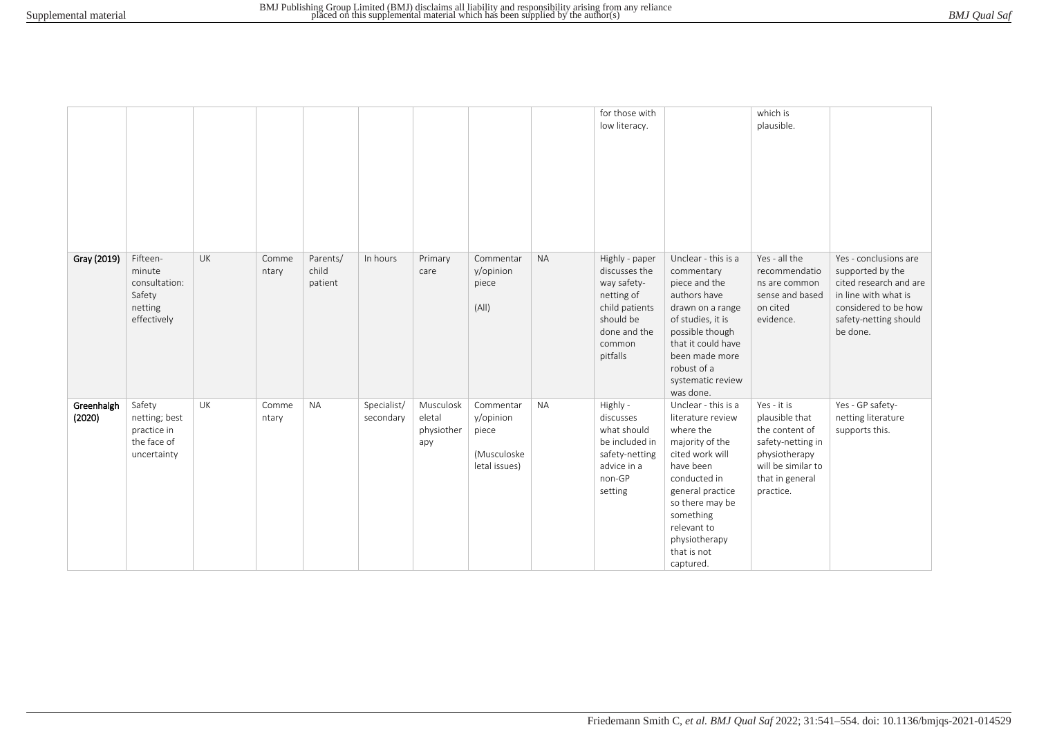|                      |                                                                         |    |                |                              |                          |                                          |                                                                 |           | for those with<br>low literacy.                                                                                                   |                                                                                                                                                                                                                                          | which is<br>plausible.                                                                                                                      |                                                                                                                                                          |
|----------------------|-------------------------------------------------------------------------|----|----------------|------------------------------|--------------------------|------------------------------------------|-----------------------------------------------------------------|-----------|-----------------------------------------------------------------------------------------------------------------------------------|------------------------------------------------------------------------------------------------------------------------------------------------------------------------------------------------------------------------------------------|---------------------------------------------------------------------------------------------------------------------------------------------|----------------------------------------------------------------------------------------------------------------------------------------------------------|
|                      |                                                                         |    |                |                              |                          |                                          |                                                                 |           |                                                                                                                                   |                                                                                                                                                                                                                                          |                                                                                                                                             |                                                                                                                                                          |
| Gray (2019)          | Fifteen-<br>minute<br>consultation:<br>Safety<br>netting<br>effectively | UK | Comme<br>ntary | Parents/<br>child<br>patient | In hours                 | Primary<br>care                          | Commentar<br>y/opinion<br>piece<br>(A  )                        | <b>NA</b> | Highly - paper<br>discusses the<br>way safety-<br>netting of<br>child patients<br>should be<br>done and the<br>common<br>pitfalls | Unclear - this is a<br>commentary<br>piece and the<br>authors have<br>drawn on a range<br>of studies, it is<br>possible though<br>that it could have<br>been made more<br>robust of a<br>systematic review<br>was done.                  | Yes - all the<br>recommendatio<br>ns are common<br>sense and based<br>on cited<br>evidence.                                                 | Yes - conclusions are<br>supported by the<br>cited research and are<br>in line with what is<br>considered to be how<br>safety-netting should<br>be done. |
| Greenhalgh<br>(2020) | Safety<br>netting; best<br>practice in<br>the face of<br>uncertainty    | UK | Comme<br>ntary | <b>NA</b>                    | Specialist/<br>secondary | Musculosk<br>eletal<br>physiother<br>apy | Commentar<br>y/opinion<br>piece<br>(Musculoske<br>letal issues) | <b>NA</b> | Highly -<br>discusses<br>what should<br>be included in<br>safety-netting<br>advice in a<br>non-GP<br>setting                      | Unclear - this is a<br>literature review<br>where the<br>majority of the<br>cited work will<br>have been<br>conducted in<br>general practice<br>so there may be<br>something<br>relevant to<br>physiotherapy<br>that is not<br>captured. | Yes - it is<br>plausible that<br>the content of<br>safety-netting in<br>physiotherapy<br>will be similar to<br>that in general<br>practice. | Yes - GP safety-<br>netting literature<br>supports this.                                                                                                 |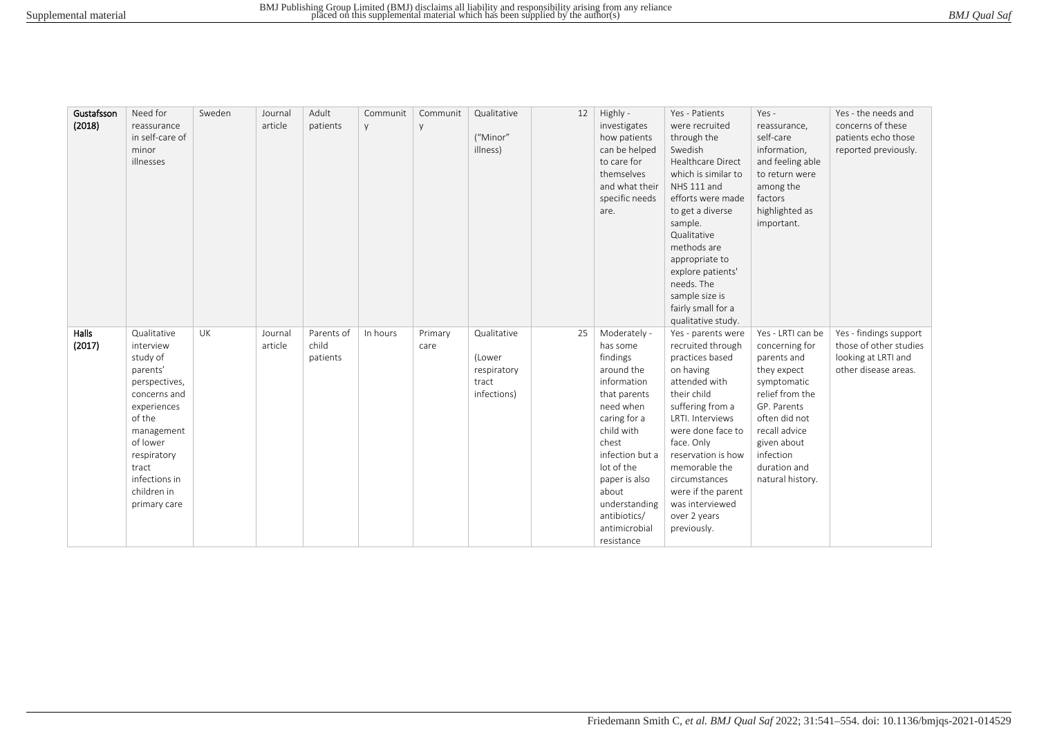| BMJ Qual Saf |  |
|--------------|--|
|--------------|--|

| Gustafsson<br>(2018) | Need for<br>reassurance<br>in self-care of<br>minor<br>illnesses                                                                                                                                             | Sweden | Journal<br>article | Adult<br>patients               | Communit<br>y | Communit<br>y   | Qualitative<br>("Minor"<br>illness)                          | 12 | Highly -<br>investigates<br>how patients<br>can be helped<br>to care for<br>themselves<br>and what their<br>specific needs<br>are.                                                                                                                               | Yes - Patients<br>were recruited<br>through the<br>Swedish<br><b>Healthcare Direct</b><br>which is similar to<br>NHS 111 and<br>efforts were made<br>to get a diverse<br>sample.<br>Qualitative<br>methods are<br>appropriate to<br>explore patients'<br>needs. The<br>sample size is<br>fairly small for a                              | Yes -<br>reassurance,<br>self-care<br>information,<br>and feeling able<br>to return were<br>among the<br>factors<br>highlighted as<br>important.                                                                     | Yes - the needs and<br>concerns of these<br>patients echo those<br>reported previously.         |
|----------------------|--------------------------------------------------------------------------------------------------------------------------------------------------------------------------------------------------------------|--------|--------------------|---------------------------------|---------------|-----------------|--------------------------------------------------------------|----|------------------------------------------------------------------------------------------------------------------------------------------------------------------------------------------------------------------------------------------------------------------|------------------------------------------------------------------------------------------------------------------------------------------------------------------------------------------------------------------------------------------------------------------------------------------------------------------------------------------|----------------------------------------------------------------------------------------------------------------------------------------------------------------------------------------------------------------------|-------------------------------------------------------------------------------------------------|
| Halls<br>(2017)      | Qualitative<br>interview<br>study of<br>parents'<br>perspectives,<br>concerns and<br>experiences<br>of the<br>management<br>of lower<br>respiratory<br>tract<br>infections in<br>children in<br>primary care | UK     | Journal<br>article | Parents of<br>child<br>patients | In hours      | Primary<br>care | Qualitative<br>(Lower<br>respiratory<br>tract<br>infections) | 25 | Moderately -<br>has some<br>findings<br>around the<br>information<br>that parents<br>need when<br>caring for a<br>child with<br>chest<br>infection but a<br>lot of the<br>paper is also<br>about<br>understanding<br>antibiotics/<br>antimicrobial<br>resistance | qualitative study.<br>Yes - parents were<br>recruited through<br>practices based<br>on having<br>attended with<br>their child<br>suffering from a<br>LRTI. Interviews<br>were done face to<br>face. Only<br>reservation is how<br>memorable the<br>circumstances<br>were if the parent<br>was interviewed<br>over 2 years<br>previously. | Yes - LRTI can be<br>concerning for<br>parents and<br>they expect<br>symptomatic<br>relief from the<br>GP. Parents<br>often did not<br>recall advice<br>given about<br>infection<br>duration and<br>natural history. | Yes - findings support<br>those of other studies<br>looking at LRTI and<br>other disease areas. |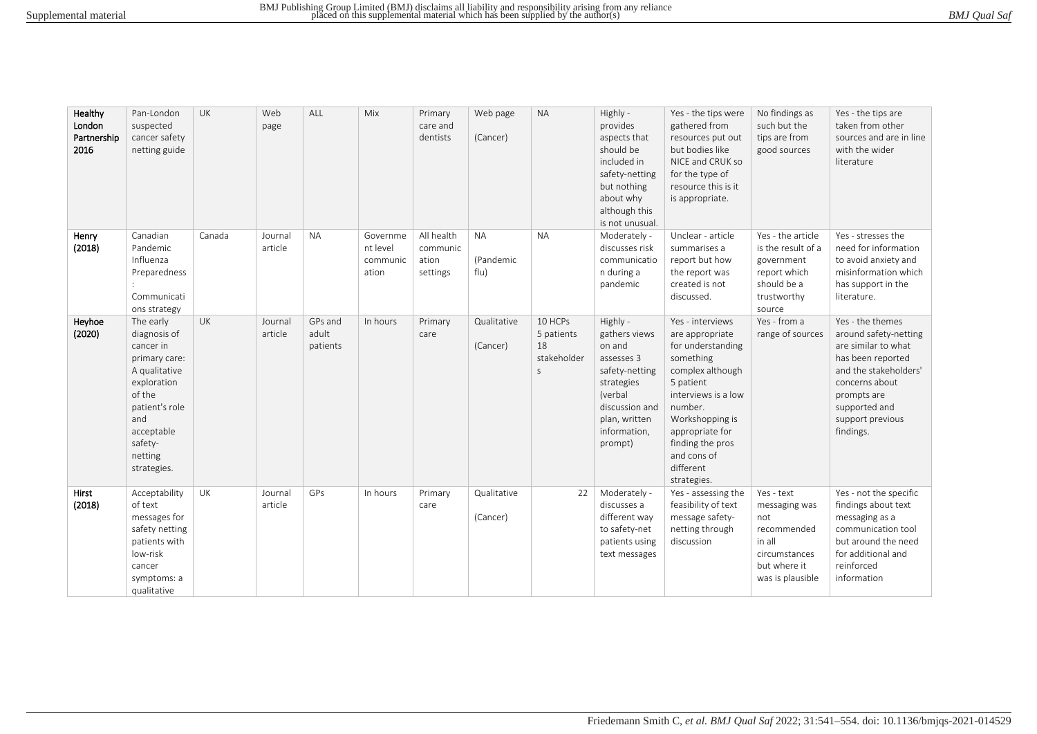| BMJ Qual Saf |
|--------------|
|--------------|

| Healthy<br>London<br>Partnership<br>2016 | Pan-London<br>suspected<br>cancer safety<br>netting guide                                                                                                                     | UK     | Web<br>page        | ALL                          | Mix                                       | Primary<br>care and<br>dentists             | Web page<br>(Cancer)           | <b>NA</b>                                                  | Highly -<br>provides<br>aspects that<br>should be<br>included in<br>safety-netting<br>but nothing<br>about why<br>although this<br>is not unusual.         | Yes - the tips were<br>gathered from<br>resources put out<br>but bodies like<br>NICE and CRUK so<br>for the type of<br>resource this is it<br>is appropriate.                                                                                 | No findings as<br>such but the<br>tips are from<br>good sources                                                  | Yes - the tips are<br>taken from other<br>sources and are in line<br>with the wider<br>literature                                                                                                 |
|------------------------------------------|-------------------------------------------------------------------------------------------------------------------------------------------------------------------------------|--------|--------------------|------------------------------|-------------------------------------------|---------------------------------------------|--------------------------------|------------------------------------------------------------|------------------------------------------------------------------------------------------------------------------------------------------------------------|-----------------------------------------------------------------------------------------------------------------------------------------------------------------------------------------------------------------------------------------------|------------------------------------------------------------------------------------------------------------------|---------------------------------------------------------------------------------------------------------------------------------------------------------------------------------------------------|
| Henry<br>(2018)                          | Canadian<br>Pandemic<br>Influenza<br>Preparedness<br>Communicati<br>ons strategy                                                                                              | Canada | Journal<br>article | <b>NA</b>                    | Governme<br>nt level<br>communic<br>ation | All health<br>communic<br>ation<br>settings | <b>NA</b><br>(Pandemic<br>flu) | <b>NA</b>                                                  | Moderately -<br>discusses risk<br>communicatio<br>n during a<br>pandemic                                                                                   | Unclear - article<br>summarises a<br>report but how<br>the report was<br>created is not<br>discussed.                                                                                                                                         | Yes - the article<br>is the result of a<br>government<br>report which<br>should be a<br>trustworthy<br>source    | Yes - stresses the<br>need for information<br>to avoid anxiety and<br>misinformation which<br>has support in the<br>literature.                                                                   |
| Heyhoe<br>(2020)                         | The early<br>diagnosis of<br>cancer in<br>primary care:<br>A qualitative<br>exploration<br>of the<br>patient's role<br>and<br>acceptable<br>safety-<br>netting<br>strategies. | UK     | Journal<br>article | GPs and<br>adult<br>patients | In hours                                  | Primary<br>care                             | Qualitative<br>(Cancer)        | 10 HCPs<br>5 patients<br>18<br>stakeholder<br>$\mathsf{S}$ | Highly -<br>gathers views<br>on and<br>assesses 3<br>safety-netting<br>strategies<br>(verbal<br>discussion and<br>plan, written<br>information,<br>prompt) | Yes - interviews<br>are appropriate<br>for understanding<br>something<br>complex although<br>5 patient<br>interviews is a low<br>number.<br>Workshopping is<br>appropriate for<br>finding the pros<br>and cons of<br>different<br>strategies. | Yes - from a<br>range of sources                                                                                 | Yes - the themes<br>around safety-netting<br>are similar to what<br>has been reported<br>and the stakeholders'<br>concerns about<br>prompts are<br>supported and<br>support previous<br>findings. |
| <b>Hirst</b><br>(2018)                   | Acceptability<br>of text<br>messages for<br>safety netting<br>patients with<br>low-risk<br>cancer<br>symptoms: a<br>qualitative                                               | UK     | Journal<br>article | GPs                          | In hours                                  | Primary<br>care                             | Qualitative<br>(Cancer)        | 22                                                         | Moderately -<br>discusses a<br>different way<br>to safety-net<br>patients using<br>text messages                                                           | Yes - assessing the<br>feasibility of text<br>message safety-<br>netting through<br>discussion                                                                                                                                                | Yes - text<br>messaging was<br>not<br>recommended<br>in all<br>circumstances<br>but where it<br>was is plausible | Yes - not the specific<br>findings about text<br>messaging as a<br>communication tool<br>but around the need<br>for additional and<br>reinforced<br>information                                   |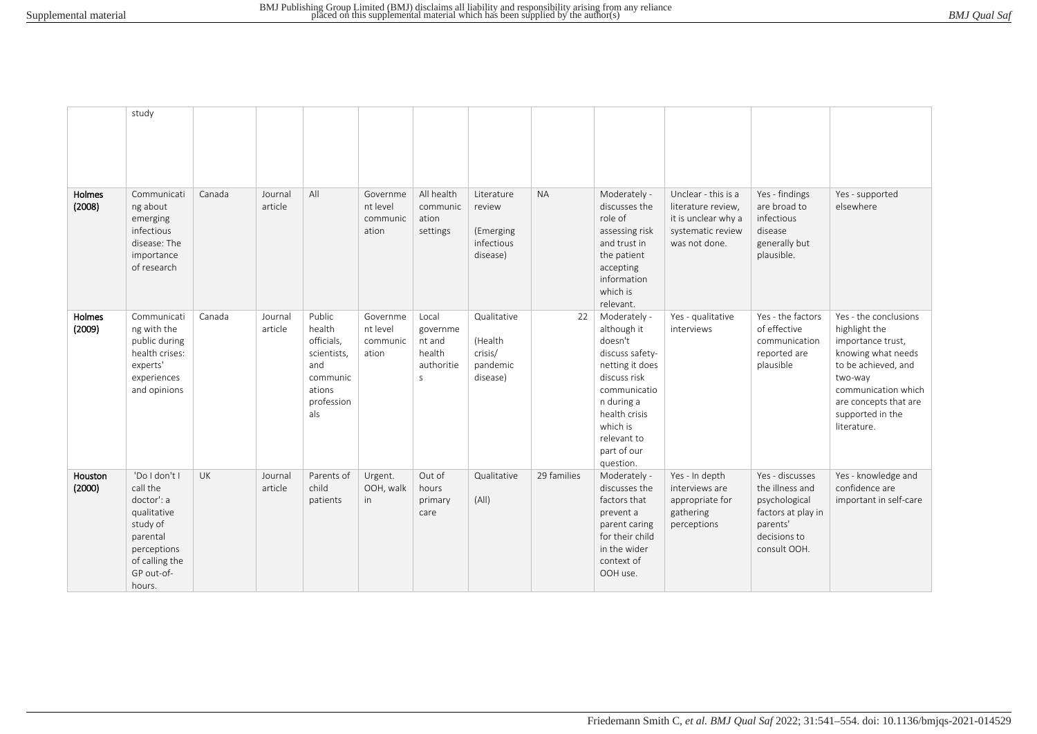|                   | study                                                                                                                                   |           |                    |                                                                                                 |                                           |                                                                     |                                                             |             |                                                                                                                                                                                                    |                                                                                                        |                                                                                                                       |                                                                                                                                                                                                        |
|-------------------|-----------------------------------------------------------------------------------------------------------------------------------------|-----------|--------------------|-------------------------------------------------------------------------------------------------|-------------------------------------------|---------------------------------------------------------------------|-------------------------------------------------------------|-------------|----------------------------------------------------------------------------------------------------------------------------------------------------------------------------------------------------|--------------------------------------------------------------------------------------------------------|-----------------------------------------------------------------------------------------------------------------------|--------------------------------------------------------------------------------------------------------------------------------------------------------------------------------------------------------|
| Holmes<br>(2008)  | Communicati<br>ng about<br>emerging<br>infectious<br>disease: The<br>importance<br>of research                                          | Canada    | Journal<br>article | All                                                                                             | Governme<br>nt level<br>communic<br>ation | All health<br>communic<br>ation<br>settings                         | Literature<br>review<br>(Emerging<br>infectious<br>disease) | <b>NA</b>   | Moderately -<br>discusses the<br>role of<br>assessing risk<br>and trust in<br>the patient<br>accepting<br>information<br>which is<br>relevant.                                                     | Unclear - this is a<br>literature review,<br>it is unclear why a<br>systematic review<br>was not done. | Yes - findings<br>are broad to<br>infectious<br>disease<br>generally but<br>plausible.                                | Yes - supported<br>elsewhere                                                                                                                                                                           |
| Holmes<br>(2009)  | Communicati<br>ng with the<br>public during<br>health crises:<br>experts'<br>experiences<br>and opinions                                | Canada    | Journal<br>article | Public<br>health<br>officials,<br>scientists,<br>and<br>communic<br>ations<br>profession<br>als | Governme<br>nt level<br>communic<br>ation | Local<br>governme<br>nt and<br>health<br>authoritie<br>$\mathsf{S}$ | Qualitative<br>(Health<br>crisis/<br>pandemic<br>disease)   | 22          | Moderately -<br>although it<br>doesn't<br>discuss safety-<br>netting it does<br>discuss risk<br>communicatio<br>n during a<br>health crisis<br>which is<br>relevant to<br>part of our<br>question. | Yes - qualitative<br>interviews                                                                        | Yes - the factors<br>of effective<br>communication<br>reported are<br>plausible                                       | Yes - the conclusions<br>highlight the<br>importance trust,<br>knowing what needs<br>to be achieved, and<br>two-way<br>communication which<br>are concepts that are<br>supported in the<br>literature. |
| Houston<br>(2000) | 'Do I don't I<br>call the<br>doctor': a<br>qualitative<br>study of<br>parental<br>perceptions<br>of calling the<br>GP out-of-<br>hours. | <b>UK</b> | Journal<br>article | Parents of<br>child<br>patients                                                                 | Urgent.<br>OOH, walk<br>in                | Out of<br>hours<br>primary<br>care                                  | Qualitative<br>(A  )                                        | 29 families | Moderately -<br>discusses the<br>factors that<br>prevent a<br>parent caring<br>for their child<br>in the wider<br>context of<br>OOH use.                                                           | Yes - In depth<br>interviews are<br>appropriate for<br>gathering<br>perceptions                        | Yes - discusses<br>the illness and<br>psychological<br>factors at play in<br>parents'<br>decisions to<br>consult OOH. | Yes - knowledge and<br>confidence are<br>important in self-care                                                                                                                                        |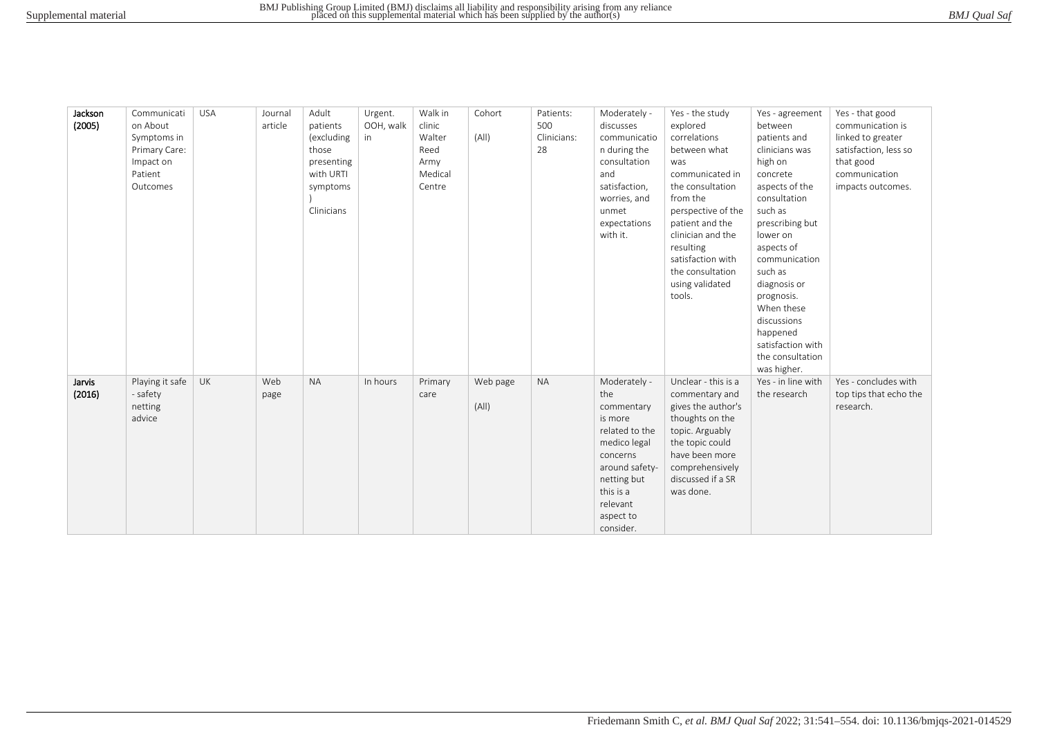| BMJ Qual Saf |
|--------------|
|--------------|

| Jackson | Communicati     | <b>USA</b> | Journal | Adult      | Urgent.   | Walk in | Cohort   | Patients:   | Moderately -   | Yes - the study     | Yes - agreement    | Yes - that good        |
|---------|-----------------|------------|---------|------------|-----------|---------|----------|-------------|----------------|---------------------|--------------------|------------------------|
| (2005)  | on About        |            | article | patients   | OOH, walk | clinic  |          | 500         | discusses      | explored            | between            | communication is       |
|         | Symptoms in     |            |         | (excluding | in        | Walter  | (A  )    | Clinicians: | communicatio   | correlations        | patients and       | linked to greater      |
|         | Primary Care:   |            |         | those      |           | Reed    |          | 28          | n during the   | between what        | clinicians was     | satisfaction, less so  |
|         | Impact on       |            |         | presenting |           | Army    |          |             | consultation   | was                 | high on            | that good              |
|         | Patient         |            |         | with URTI  |           | Medical |          |             | and            | communicated in     | concrete           | communication          |
|         | Outcomes        |            |         | symptoms   |           | Centre  |          |             | satisfaction,  | the consultation    | aspects of the     | impacts outcomes.      |
|         |                 |            |         |            |           |         |          |             | worries, and   | from the            | consultation       |                        |
|         |                 |            |         | Clinicians |           |         |          |             | unmet          | perspective of the  | such as            |                        |
|         |                 |            |         |            |           |         |          |             | expectations   | patient and the     | prescribing but    |                        |
|         |                 |            |         |            |           |         |          |             | with it.       | clinician and the   | lower on           |                        |
|         |                 |            |         |            |           |         |          |             |                | resulting           | aspects of         |                        |
|         |                 |            |         |            |           |         |          |             |                | satisfaction with   | communication      |                        |
|         |                 |            |         |            |           |         |          |             |                | the consultation    | such as            |                        |
|         |                 |            |         |            |           |         |          |             |                | using validated     | diagnosis or       |                        |
|         |                 |            |         |            |           |         |          |             |                | tools.              | prognosis.         |                        |
|         |                 |            |         |            |           |         |          |             |                |                     | When these         |                        |
|         |                 |            |         |            |           |         |          |             |                |                     | discussions        |                        |
|         |                 |            |         |            |           |         |          |             |                |                     | happened           |                        |
|         |                 |            |         |            |           |         |          |             |                |                     | satisfaction with  |                        |
|         |                 |            |         |            |           |         |          |             |                |                     | the consultation   |                        |
|         |                 |            |         |            |           |         |          |             |                |                     | was higher.        |                        |
| Jarvis  | Playing it safe | <b>UK</b>  | Web     | <b>NA</b>  | In hours  | Primary | Web page | <b>NA</b>   | Moderately -   | Unclear - this is a | Yes - in line with | Yes - concludes with   |
| (2016)  | - safety        |            | page    |            |           | care    |          |             | the            | commentary and      | the research       | top tips that echo the |
|         | netting         |            |         |            |           |         | (A  )    |             | commentary     | gives the author's  |                    | research.              |
|         | advice          |            |         |            |           |         |          |             | is more        | thoughts on the     |                    |                        |
|         |                 |            |         |            |           |         |          |             | related to the | topic. Arguably     |                    |                        |
|         |                 |            |         |            |           |         |          |             | medico legal   | the topic could     |                    |                        |
|         |                 |            |         |            |           |         |          |             | concerns       | have been more      |                    |                        |
|         |                 |            |         |            |           |         |          |             | around safety- | comprehensively     |                    |                        |
|         |                 |            |         |            |           |         |          |             | netting but    | discussed if a SR   |                    |                        |
|         |                 |            |         |            |           |         |          |             | this is a      | was done.           |                    |                        |
|         |                 |            |         |            |           |         |          |             | relevant       |                     |                    |                        |
|         |                 |            |         |            |           |         |          |             | aspect to      |                     |                    |                        |
|         |                 |            |         |            |           |         |          |             | consider.      |                     |                    |                        |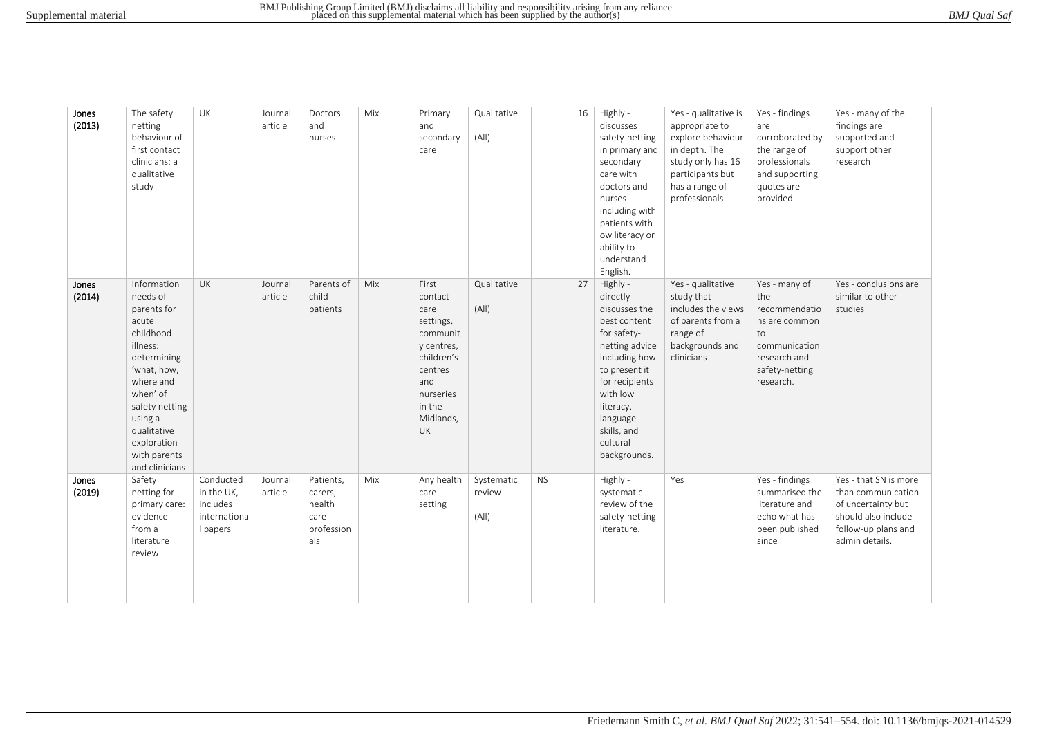| BMJ Qual Saf |  |
|--------------|--|
|--------------|--|

| Jones<br>(2013) | The safety<br>netting<br>behaviour of<br>first contact<br>clinicians: a<br>qualitative<br>study                                                                                                                              | UK                                                              | Journal<br>article | Doctors<br>and<br>nurses                                    | Mix | Primary<br>and<br>secondary<br>care                                                                                                       | Qualitative<br>(A  )          | 16        | Highly -<br>discusses<br>safety-netting<br>in primary and<br>secondary<br>care with<br>doctors and<br>nurses<br>including with<br>patients with<br>ow literacy or<br>ability to<br>understand<br>English.                  | Yes - qualitative is<br>appropriate to<br>explore behaviour<br>in depth. The<br>study only has 16<br>participants but<br>has a range of<br>professionals | Yes - findings<br>are<br>corroborated by<br>the range of<br>professionals<br>and supporting<br>quotes are<br>provided        | Yes - many of the<br>findings are<br>supported and<br>support other<br>research                                                   |
|-----------------|------------------------------------------------------------------------------------------------------------------------------------------------------------------------------------------------------------------------------|-----------------------------------------------------------------|--------------------|-------------------------------------------------------------|-----|-------------------------------------------------------------------------------------------------------------------------------------------|-------------------------------|-----------|----------------------------------------------------------------------------------------------------------------------------------------------------------------------------------------------------------------------------|----------------------------------------------------------------------------------------------------------------------------------------------------------|------------------------------------------------------------------------------------------------------------------------------|-----------------------------------------------------------------------------------------------------------------------------------|
| Jones<br>(2014) | Information<br>needs of<br>parents for<br>acute<br>childhood<br>illness:<br>determining<br>'what, how,<br>where and<br>when' of<br>safety netting<br>using a<br>qualitative<br>exploration<br>with parents<br>and clinicians | <b>UK</b>                                                       | Journal<br>article | Parents of<br>child<br>patients                             | Mix | First<br>contact<br>care<br>settings,<br>communit<br>y centres,<br>children's<br>centres<br>and<br>nurseries<br>in the<br>Midlands,<br>UK | Qualitative<br>(A  )          | 27        | Highly -<br>directly<br>discusses the<br>best content<br>for safety-<br>netting advice<br>including how<br>to present it<br>for recipients<br>with low<br>literacy,<br>language<br>skills, and<br>cultural<br>backgrounds. | Yes - qualitative<br>study that<br>includes the views<br>of parents from a<br>range of<br>backgrounds and<br>clinicians                                  | Yes - many of<br>the<br>recommendatio<br>ns are common<br>to<br>communication<br>research and<br>safety-netting<br>research. | Yes - conclusions are<br>similar to other<br>studies                                                                              |
| Jones<br>(2019) | Safety<br>netting for<br>primary care:<br>evidence<br>from a<br>literature<br>review                                                                                                                                         | Conducted<br>in the UK,<br>includes<br>internationa<br>I papers | Journal<br>article | Patients,<br>carers,<br>health<br>care<br>profession<br>als | Mix | Any health<br>care<br>setting                                                                                                             | Systematic<br>review<br>(A  ) | <b>NS</b> | Highly -<br>systematic<br>review of the<br>safety-netting<br>literature.                                                                                                                                                   | Yes                                                                                                                                                      | Yes - findings<br>summarised the<br>literature and<br>echo what has<br>been published<br>since                               | Yes - that SN is more<br>than communication<br>of uncertainty but<br>should also include<br>follow-up plans and<br>admin details. |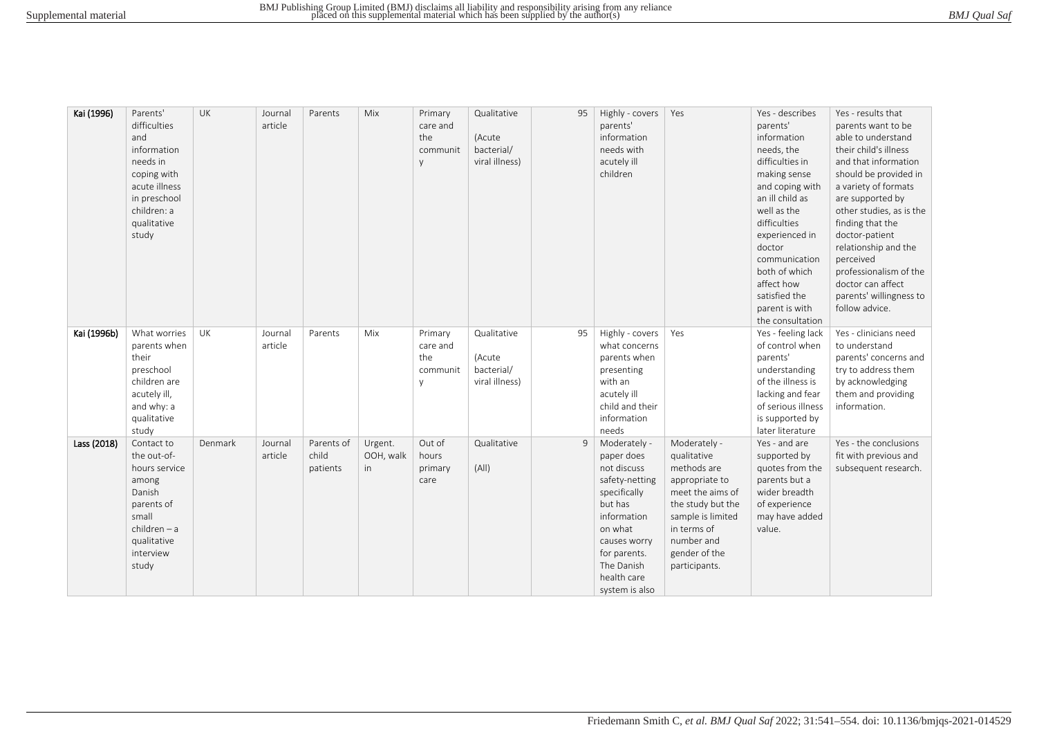| Kai (1996)  | Parents'<br>difficulties<br>and<br>information<br>needs in<br>coping with<br>acute illness<br>in preschool<br>children: a<br>qualitative<br>study | UK      | Journal<br>article | Parents                         | Mix                        | Primary<br>care and<br>the<br>communit<br>y | Qualitative<br>(Acute<br>bacterial/<br>viral illness) | 95 | Highly - covers<br>parents'<br>information<br>needs with<br>acutely ill<br>children                                                                                                             | Yes                                                                                                                                                                                       | Yes - describes<br>parents'<br>information<br>needs, the<br>difficulties in<br>making sense<br>and coping with<br>an ill child as<br>well as the<br>difficulties<br>experienced in<br>doctor<br>communication<br>both of which<br>affect how<br>satisfied the<br>parent is with | Yes - results that<br>parents want to be<br>able to understand<br>their child's illness<br>and that information<br>should be provided in<br>a variety of formats<br>are supported by<br>other studies, as is the<br>finding that the<br>doctor-patient<br>relationship and the<br>perceived<br>professionalism of the<br>doctor can affect<br>parents' willingness to<br>follow advice. |
|-------------|---------------------------------------------------------------------------------------------------------------------------------------------------|---------|--------------------|---------------------------------|----------------------------|---------------------------------------------|-------------------------------------------------------|----|-------------------------------------------------------------------------------------------------------------------------------------------------------------------------------------------------|-------------------------------------------------------------------------------------------------------------------------------------------------------------------------------------------|---------------------------------------------------------------------------------------------------------------------------------------------------------------------------------------------------------------------------------------------------------------------------------|-----------------------------------------------------------------------------------------------------------------------------------------------------------------------------------------------------------------------------------------------------------------------------------------------------------------------------------------------------------------------------------------|
| Kai (1996b) | What worries<br>parents when<br>their<br>preschool<br>children are<br>acutely ill,<br>and why: a<br>qualitative<br>study                          | UK      | Journal<br>article | Parents                         | Mix                        | Primary<br>care and<br>the<br>communit<br>V | Qualitative<br>(Acute<br>bacterial/<br>viral illness) | 95 | Highly - covers<br>what concerns<br>parents when<br>presenting<br>with an<br>acutely ill<br>child and their<br>information<br>needs                                                             | Yes                                                                                                                                                                                       | the consultation<br>Yes - feeling lack<br>of control when<br>parents'<br>understanding<br>of the illness is<br>lacking and fear<br>of serious illness<br>is supported by<br>later literature                                                                                    | Yes - clinicians need<br>to understand<br>parents' concerns and<br>try to address them<br>by acknowledging<br>them and providing<br>information.                                                                                                                                                                                                                                        |
| Lass (2018) | Contact to<br>the out-of-<br>hours service<br>among<br>Danish<br>parents of<br>small<br>$children - a$<br>qualitative<br>interview<br>study       | Denmark | Journal<br>article | Parents of<br>child<br>patients | Urgent.<br>OOH, walk<br>in | Out of<br>hours<br>primary<br>care          | Qualitative<br>(A  )                                  | 9  | Moderately -<br>paper does<br>not discuss<br>safety-netting<br>specifically<br>but has<br>information<br>on what<br>causes worry<br>for parents.<br>The Danish<br>health care<br>system is also | Moderately -<br>qualitative<br>methods are<br>appropriate to<br>meet the aims of<br>the study but the<br>sample is limited<br>in terms of<br>number and<br>gender of the<br>participants. | Yes - and are<br>supported by<br>quotes from the<br>parents but a<br>wider breadth<br>of experience<br>may have added<br>value.                                                                                                                                                 | Yes - the conclusions<br>fit with previous and<br>subsequent research.                                                                                                                                                                                                                                                                                                                  |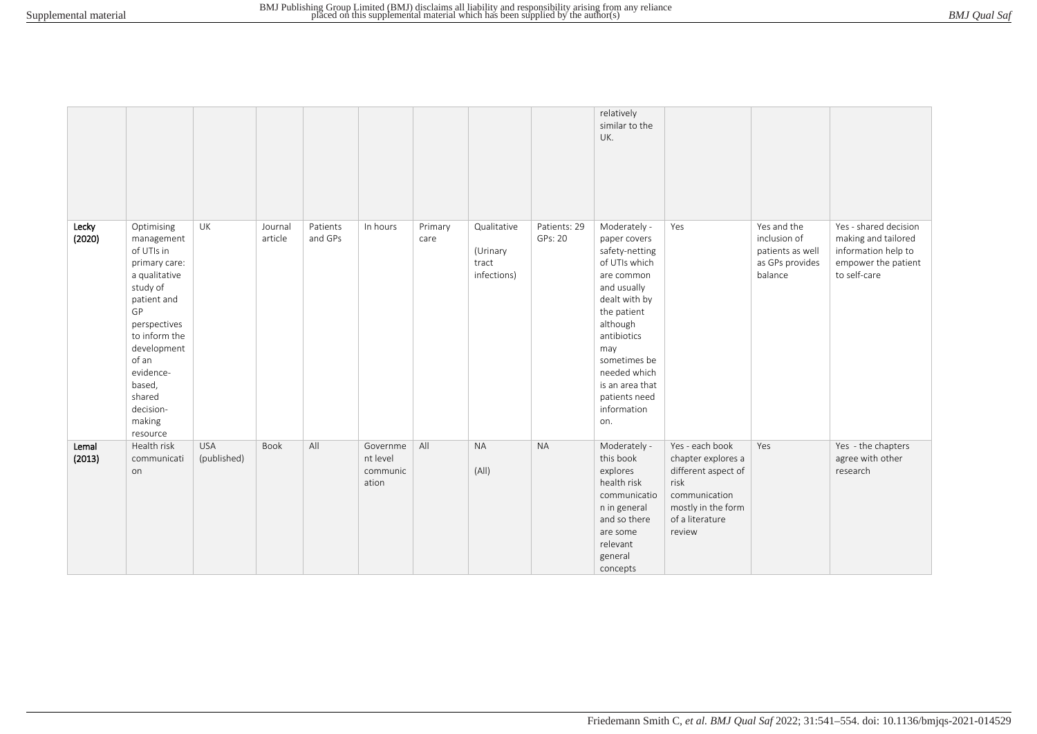|                 |                                                                                                                                                                                                                                        |                           |                    |                     |                                           |                 |                                                 |                         | relatively<br>similar to the<br>UK.                                                                                                                                                                                                                      |                                                                                                                                          |                                                                               |                                                                                                            |
|-----------------|----------------------------------------------------------------------------------------------------------------------------------------------------------------------------------------------------------------------------------------|---------------------------|--------------------|---------------------|-------------------------------------------|-----------------|-------------------------------------------------|-------------------------|----------------------------------------------------------------------------------------------------------------------------------------------------------------------------------------------------------------------------------------------------------|------------------------------------------------------------------------------------------------------------------------------------------|-------------------------------------------------------------------------------|------------------------------------------------------------------------------------------------------------|
| Lecky<br>(2020) | Optimising<br>management<br>of UTIs in<br>primary care:<br>a qualitative<br>study of<br>patient and<br>GP<br>perspectives<br>to inform the<br>development<br>of an<br>evidence-<br>based,<br>shared<br>decision-<br>making<br>resource | UK                        | Journal<br>article | Patients<br>and GPs | In hours                                  | Primary<br>care | Qualitative<br>(Urinary<br>tract<br>infections) | Patients: 29<br>GPs: 20 | Moderately -<br>paper covers<br>safety-netting<br>of UTIs which<br>are common<br>and usually<br>dealt with by<br>the patient<br>although<br>antibiotics<br>may<br>sometimes be<br>needed which<br>is an area that<br>patients need<br>information<br>on. | Yes                                                                                                                                      | Yes and the<br>inclusion of<br>patients as well<br>as GPs provides<br>balance | Yes - shared decision<br>making and tailored<br>information help to<br>empower the patient<br>to self-care |
| Lemal<br>(2013) | Health risk<br>communicati<br>on                                                                                                                                                                                                       | <b>USA</b><br>(published) | Book               | All                 | Governme<br>nt level<br>communic<br>ation | All             | <b>NA</b><br>(A  )                              | <b>NA</b>               | Moderately -<br>this book<br>explores<br>health risk<br>communicatio<br>n in general<br>and so there<br>are some<br>relevant<br>general<br>concepts                                                                                                      | Yes - each book<br>chapter explores a<br>different aspect of<br>risk<br>communication<br>mostly in the form<br>of a literature<br>review | Yes                                                                           | Yes - the chapters<br>agree with other<br>research                                                         |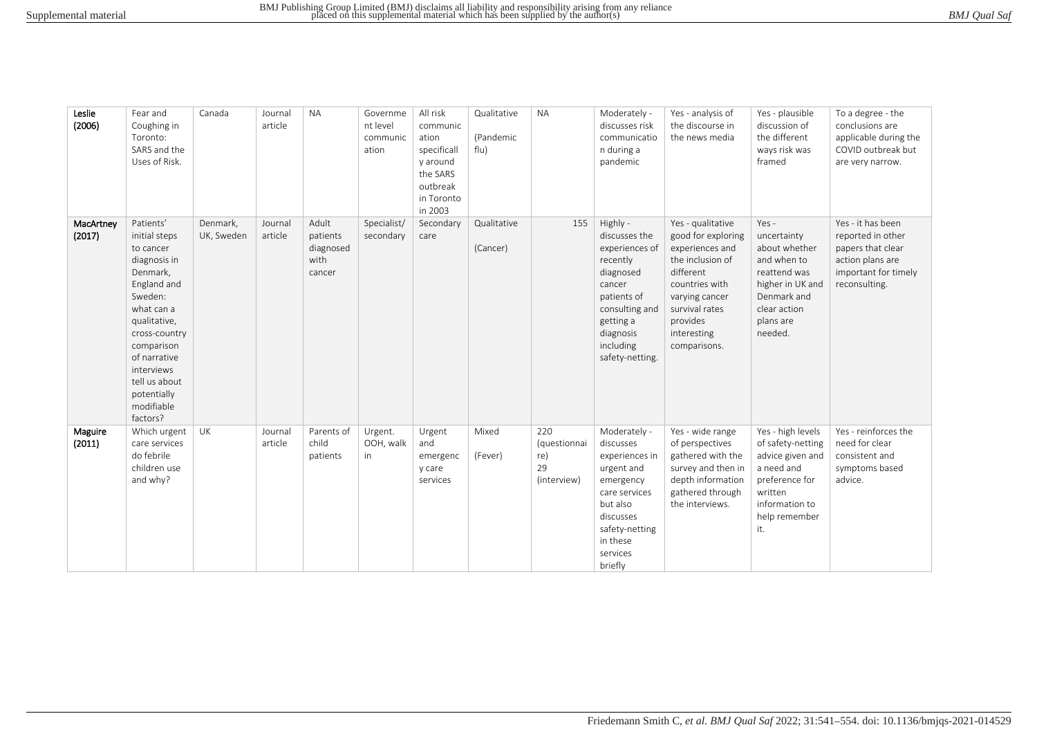| BMJ Qual Saf |
|--------------|
|--------------|

| Leslie<br>(2006)    | Fear and<br>Coughing in<br>Toronto:<br>SARS and the<br>Uses of Risk.                                                                                                                                                                               | Canada                 | Journal<br>article | <b>NA</b>                                        | Governme<br>nt level<br>communic<br>ation | All risk<br>communic<br>ation<br>specificall<br>y around<br>the SARS<br>outbreak<br>in Toronto<br>in 2003 | Qualitative<br>(Pandemic<br>flu) | <b>NA</b>                                       | Moderately -<br>discusses risk<br>communicatio<br>n during a<br>pandemic                                                                                                  | Yes - analysis of<br>the discourse in<br>the news media                                                                                                                                      | Yes - plausible<br>discussion of<br>the different<br>ways risk was<br>framed                                                                    | To a degree - the<br>conclusions are<br>applicable during the<br>COVID outbreak but<br>are very narrow.                  |
|---------------------|----------------------------------------------------------------------------------------------------------------------------------------------------------------------------------------------------------------------------------------------------|------------------------|--------------------|--------------------------------------------------|-------------------------------------------|-----------------------------------------------------------------------------------------------------------|----------------------------------|-------------------------------------------------|---------------------------------------------------------------------------------------------------------------------------------------------------------------------------|----------------------------------------------------------------------------------------------------------------------------------------------------------------------------------------------|-------------------------------------------------------------------------------------------------------------------------------------------------|--------------------------------------------------------------------------------------------------------------------------|
| MacArtney<br>(2017) | Patients'<br>initial steps<br>to cancer<br>diagnosis in<br>Denmark,<br>England and<br>Sweden:<br>what can a<br>qualitative,<br>cross-country<br>comparison<br>of narrative<br>interviews<br>tell us about<br>potentially<br>modifiable<br>factors? | Denmark,<br>UK, Sweden | Journal<br>article | Adult<br>patients<br>diagnosed<br>with<br>cancer | Specialist/<br>secondary                  | Secondary<br>care                                                                                         | Qualitative<br>(Cancer)          | 155                                             | Highly -<br>discusses the<br>experiences of<br>recently<br>diagnosed<br>cancer<br>patients of<br>consulting and<br>getting a<br>diagnosis<br>including<br>safety-netting. | Yes - qualitative<br>good for exploring<br>experiences and<br>the inclusion of<br>different<br>countries with<br>varying cancer<br>survival rates<br>provides<br>interesting<br>comparisons. | Yes -<br>uncertainty<br>about whether<br>and when to<br>reattend was<br>higher in UK and<br>Denmark and<br>clear action<br>plans are<br>needed. | Yes - it has been<br>reported in other<br>papers that clear<br>action plans are<br>important for timely<br>reconsulting. |
| Maguire<br>(2011)   | Which urgent<br>care services<br>do febrile<br>children use<br>and why?                                                                                                                                                                            | UK                     | Journal<br>article | Parents of<br>child<br>patients                  | Urgent.<br>OOH, walk<br>in                | Urgent<br>and<br>emergenc<br>y care<br>services                                                           | Mixed<br>(Fever)                 | 220<br>(questionnai<br>re)<br>29<br>(interview) | Moderately -<br>discusses<br>experiences in<br>urgent and<br>emergency<br>care services<br>but also<br>discusses<br>safety-netting<br>in these<br>services<br>briefly     | Yes - wide range<br>of perspectives<br>gathered with the<br>survey and then in<br>depth information<br>gathered through<br>the interviews.                                                   | Yes - high levels<br>of safety-netting<br>advice given and<br>a need and<br>preference for<br>written<br>information to<br>help remember<br>it. | Yes - reinforces the<br>need for clear<br>consistent and<br>symptoms based<br>advice.                                    |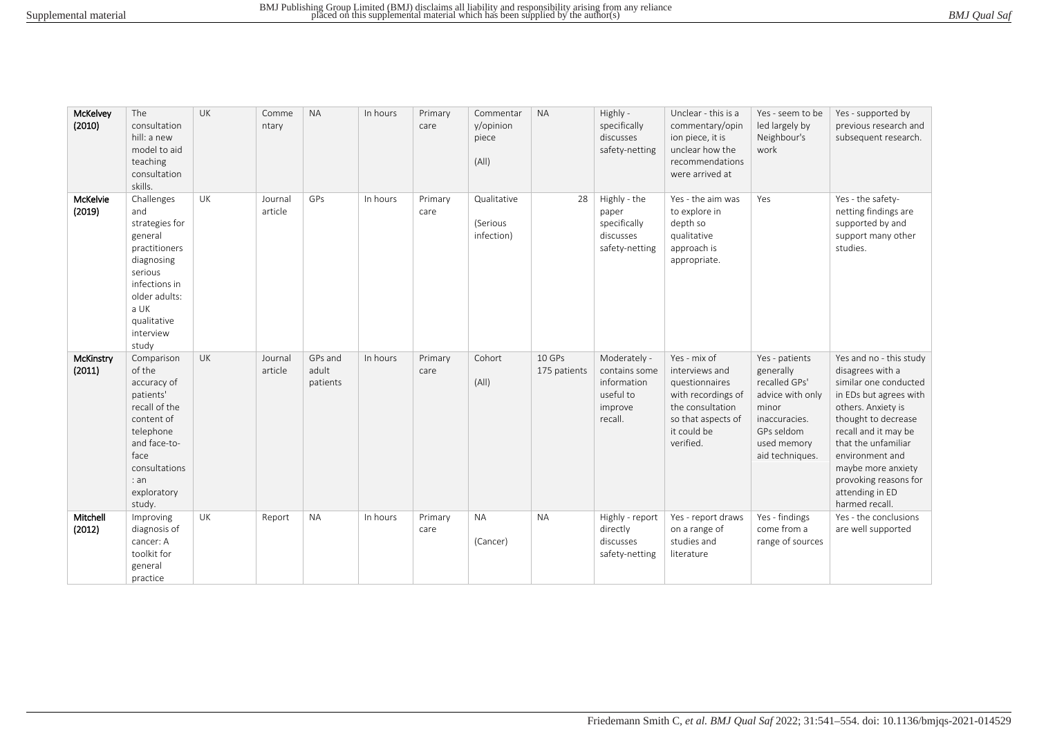|  | BMJ Qual Saf |  |
|--|--------------|--|
|--|--------------|--|

| McKelvey<br>(2010)  | The<br>consultation<br>hill: a new<br>model to aid<br>teaching<br>consultation<br>skills.                                                                               | <b>UK</b> | Comme<br>ntary     | <b>NA</b>                    | In hours | Primary<br>care | Commentar<br>y/opinion<br>piece<br>(A  ) | <b>NA</b>              | Highly -<br>specifically<br>discusses<br>safety-netting                         | Unclear - this is a<br>commentary/opin<br>ion piece, it is<br>unclear how the<br>recommendations<br>were arrived at                          | Yes - seem to be<br>led largely by<br>Neighbour's<br>work                                                                                  | Yes - supported by<br>previous research and<br>subsequent research.                                                                                                                                                                                                                               |
|---------------------|-------------------------------------------------------------------------------------------------------------------------------------------------------------------------|-----------|--------------------|------------------------------|----------|-----------------|------------------------------------------|------------------------|---------------------------------------------------------------------------------|----------------------------------------------------------------------------------------------------------------------------------------------|--------------------------------------------------------------------------------------------------------------------------------------------|---------------------------------------------------------------------------------------------------------------------------------------------------------------------------------------------------------------------------------------------------------------------------------------------------|
| McKelvie<br>(2019)  | Challenges<br>and<br>strategies for<br>general<br>practitioners<br>diagnosing<br>serious<br>infections in<br>older adults:<br>a UK<br>qualitative<br>interview<br>study | UK        | Journal<br>article | GPs                          | In hours | Primary<br>care | Qualitative<br>(Serious<br>infection)    | 28                     | Highly - the<br>paper<br>specifically<br>discusses<br>safety-netting            | Yes - the aim was<br>to explore in<br>depth so<br>qualitative<br>approach is<br>appropriate.                                                 | Yes                                                                                                                                        | Yes - the safety-<br>netting findings are<br>supported by and<br>support many other<br>studies.                                                                                                                                                                                                   |
| McKinstry<br>(2011) | Comparison<br>of the<br>accuracy of<br>patients'<br>recall of the<br>content of<br>telephone<br>and face-to-<br>face<br>consultations<br>: an<br>exploratory<br>study.  | UK        | Journal<br>article | GPs and<br>adult<br>patients | In hours | Primary<br>care | Cohort<br>(A  )                          | 10 GPs<br>175 patients | Moderately -<br>contains some<br>information<br>useful to<br>improve<br>recall. | Yes - mix of<br>interviews and<br>questionnaires<br>with recordings of<br>the consultation<br>so that aspects of<br>it could be<br>verified. | Yes - patients<br>generally<br>recalled GPs'<br>advice with only<br>minor<br>inaccuracies.<br>GPs seldom<br>used memory<br>aid techniques. | Yes and no - this study<br>disagrees with a<br>similar one conducted<br>in EDs but agrees with<br>others. Anxiety is<br>thought to decrease<br>recall and it may be<br>that the unfamiliar<br>environment and<br>maybe more anxiety<br>provoking reasons for<br>attending in ED<br>harmed recall. |
| Mitchell<br>(2012)  | Improving<br>diagnosis of<br>cancer: A<br>toolkit for<br>general<br>practice                                                                                            | UK        | Report             | <b>NA</b>                    | In hours | Primary<br>care | <b>NA</b><br>(Cancer)                    | <b>NA</b>              | Highly - report<br>directly<br>discusses<br>safety-netting                      | Yes - report draws<br>on a range of<br>studies and<br>literature                                                                             | Yes - findings<br>come from a<br>range of sources                                                                                          | Yes - the conclusions<br>are well supported                                                                                                                                                                                                                                                       |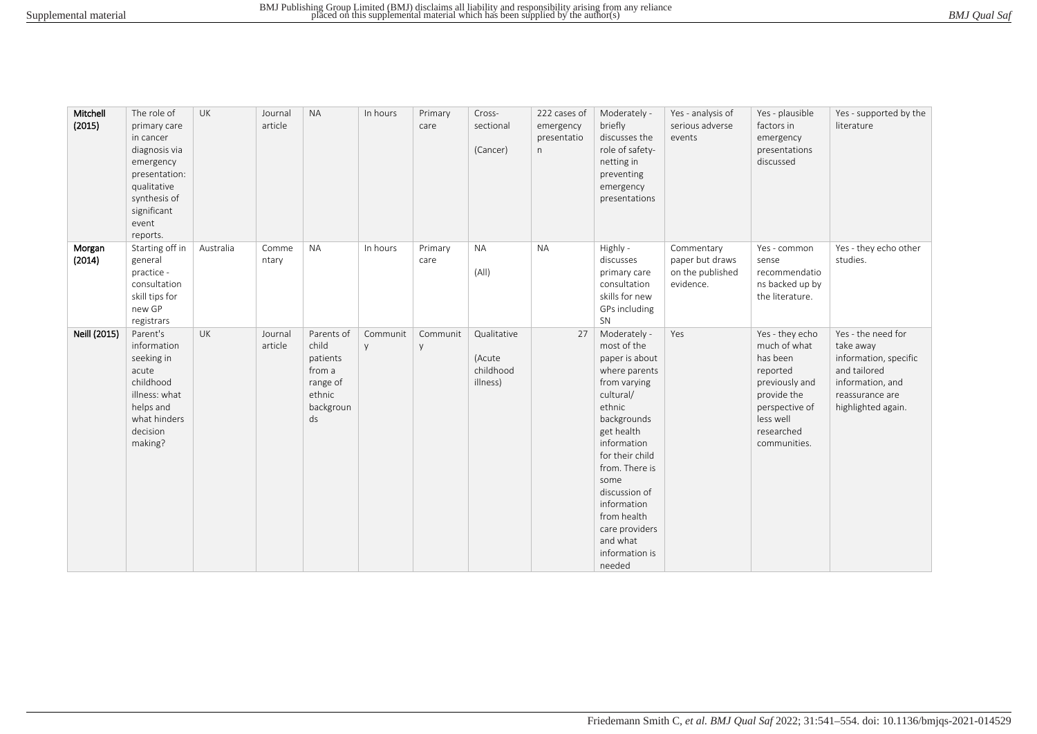| BMJ Qual Saf |  |
|--------------|--|
|--------------|--|

| Mitchell<br>(2015) | The role of<br>primary care<br>in cancer<br>diagnosis via<br>emergency<br>presentation:<br>qualitative<br>synthesis of<br>significant<br>event<br>reports. | UK        | Journal<br>article | <b>NA</b>                                                                          | In hours      | Primary<br>care | Cross-<br>sectional<br>(Cancer)                | 222 cases of<br>emergency<br>presentatio<br>n | Moderately -<br>briefly<br>discusses the<br>role of safety-<br>netting in<br>preventing<br>emergency<br>presentations                                                                                                                                                                                   | Yes - analysis of<br>serious adverse<br>events                 | Yes - plausible<br>factors in<br>emergency<br>presentations<br>discussed                                                                              | Yes - supported by the<br>literature                                                                                                  |
|--------------------|------------------------------------------------------------------------------------------------------------------------------------------------------------|-----------|--------------------|------------------------------------------------------------------------------------|---------------|-----------------|------------------------------------------------|-----------------------------------------------|---------------------------------------------------------------------------------------------------------------------------------------------------------------------------------------------------------------------------------------------------------------------------------------------------------|----------------------------------------------------------------|-------------------------------------------------------------------------------------------------------------------------------------------------------|---------------------------------------------------------------------------------------------------------------------------------------|
| Morgan<br>(2014)   | Starting off in<br>general<br>practice -<br>consultation<br>skill tips for<br>new GP<br>registrars                                                         | Australia | Comme<br>ntary     | <b>NA</b>                                                                          | In hours      | Primary<br>care | <b>NA</b><br>(A  )                             | <b>NA</b>                                     | Highly -<br>discusses<br>primary care<br>consultation<br>skills for new<br>GPs including<br>SN                                                                                                                                                                                                          | Commentary<br>paper but draws<br>on the published<br>evidence. | Yes - common<br>sense<br>recommendatio<br>ns backed up by<br>the literature.                                                                          | Yes - they echo other<br>studies.                                                                                                     |
| Neill (2015)       | Parent's<br>information<br>seeking in<br>acute<br>childhood<br>illness: what<br>helps and<br>what hinders<br>decision<br>making?                           | <b>UK</b> | Journal<br>article | Parents of<br>child<br>patients<br>from a<br>range of<br>ethnic<br>backgroun<br>ds | Communit<br>V | Communit<br>y   | Qualitative<br>(Acute<br>childhood<br>illness) | 27                                            | Moderately -<br>most of the<br>paper is about<br>where parents<br>from varying<br>cultural/<br>ethnic<br>backgrounds<br>get health<br>information<br>for their child<br>from. There is<br>some<br>discussion of<br>information<br>from health<br>care providers<br>and what<br>information is<br>needed | Yes                                                            | Yes - they echo<br>much of what<br>has been<br>reported<br>previously and<br>provide the<br>perspective of<br>less well<br>researched<br>communities. | Yes - the need for<br>take away<br>information, specific<br>and tailored<br>information, and<br>reassurance are<br>highlighted again. |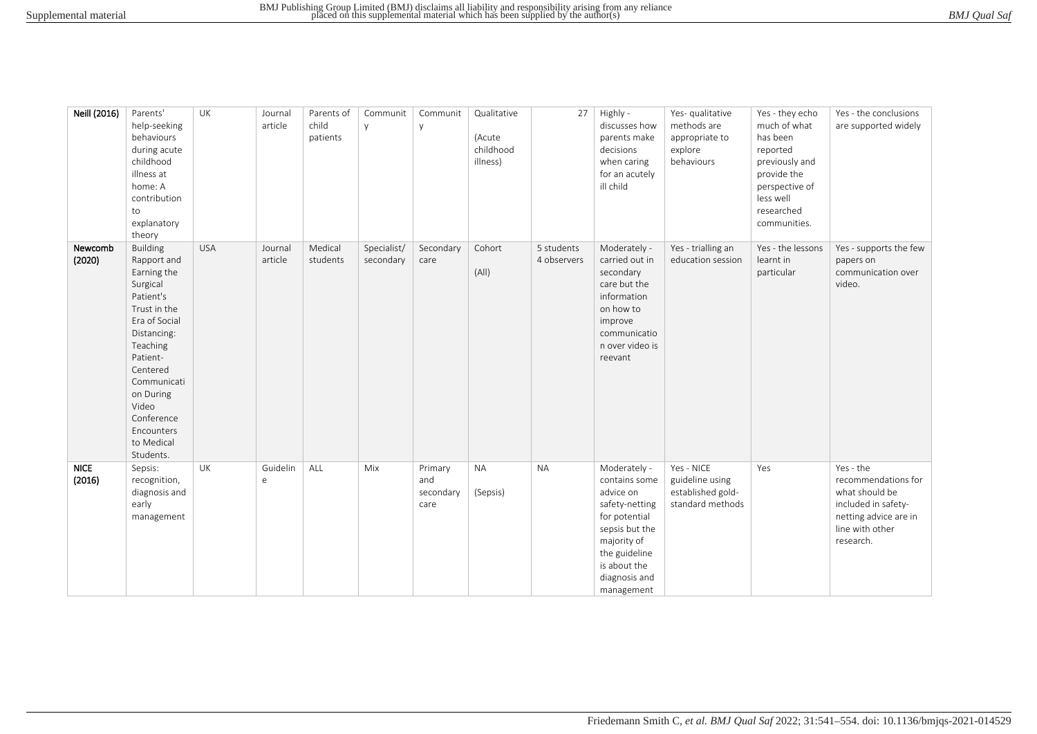|  | BMJ Qual Saf |  |
|--|--------------|--|
|--|--------------|--|

| Neill (2016)          | Parents'<br>help-seeking<br>behaviours<br>during acute<br>childhood<br>illness at<br>home: A<br>contribution<br>to<br>explanatory<br>theory                                                                                                            | UK         | Journal<br>article     | Parents of<br>child<br>patients | Communit<br>y            | Communit<br>y                       | Qualitative<br>(Acute<br>childhood<br>illness) | 27                        | Highly -<br>discusses how<br>parents make<br>decisions<br>when caring<br>for an acutely<br>ill child                                                                           | Yes- qualitative<br>methods are<br>appropriate to<br>explore<br>behaviours | Yes - they echo<br>much of what<br>has been<br>reported<br>previously and<br>provide the<br>perspective of<br>less well<br>researched<br>communities. | Yes - the conclusions<br>are supported widely                                                                                      |
|-----------------------|--------------------------------------------------------------------------------------------------------------------------------------------------------------------------------------------------------------------------------------------------------|------------|------------------------|---------------------------------|--------------------------|-------------------------------------|------------------------------------------------|---------------------------|--------------------------------------------------------------------------------------------------------------------------------------------------------------------------------|----------------------------------------------------------------------------|-------------------------------------------------------------------------------------------------------------------------------------------------------|------------------------------------------------------------------------------------------------------------------------------------|
| Newcomb<br>(2020)     | <b>Building</b><br>Rapport and<br>Earning the<br>Surgical<br>Patient's<br>Trust in the<br>Era of Social<br>Distancing:<br>Teaching<br>Patient-<br>Centered<br>Communicati<br>on During<br>Video<br>Conference<br>Encounters<br>to Medical<br>Students. | <b>USA</b> | Journal<br>article     | Medical<br>students             | Specialist/<br>secondary | Secondary<br>care                   | Cohort<br>(A  )                                | 5 students<br>4 observers | Moderately -<br>carried out in<br>secondary<br>care but the<br>information<br>on how to<br>improve<br>communicatio<br>n over video is<br>reevant                               | Yes - trialling an<br>education session                                    | Yes - the lessons<br>learnt in<br>particular                                                                                                          | Yes - supports the few<br>papers on<br>communication over<br>video.                                                                |
| <b>NICE</b><br>(2016) | Sepsis:<br>recognition,<br>diagnosis and<br>early<br>management                                                                                                                                                                                        | UK         | Guidelin<br>$\epsilon$ | ALL                             | Mix                      | Primary<br>and<br>secondary<br>care | <b>NA</b><br>(Sepsis)                          | <b>NA</b>                 | Moderately -<br>contains some<br>advice on<br>safety-netting<br>for potential<br>sepsis but the<br>majority of<br>the guideline<br>is about the<br>diagnosis and<br>management | Yes - NICE<br>guideline using<br>established gold-<br>standard methods     | Yes                                                                                                                                                   | Yes - the<br>recommendations for<br>what should be<br>included in safety-<br>netting advice are in<br>line with other<br>research. |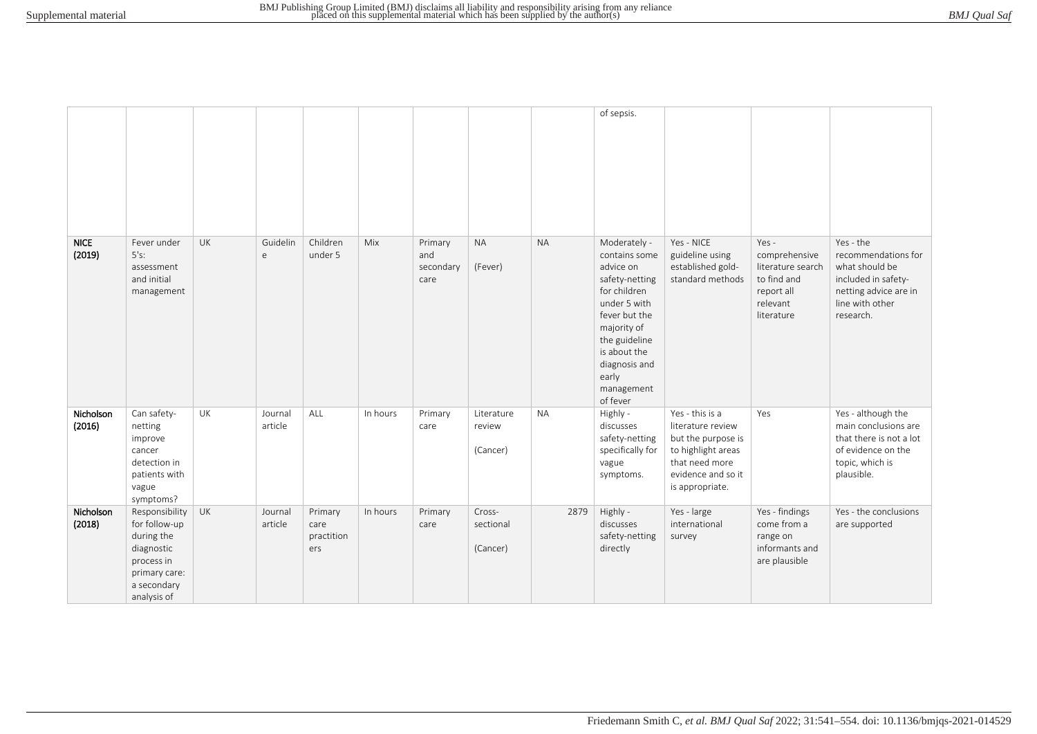|                       |                                                                                                                          |           |                    |                                      |          |                                     |                                  |           | of sepsis.                                                                                                                                                                                                        |                                                                                                                                             |                                                                                                    |                                                                                                                                    |
|-----------------------|--------------------------------------------------------------------------------------------------------------------------|-----------|--------------------|--------------------------------------|----------|-------------------------------------|----------------------------------|-----------|-------------------------------------------------------------------------------------------------------------------------------------------------------------------------------------------------------------------|---------------------------------------------------------------------------------------------------------------------------------------------|----------------------------------------------------------------------------------------------------|------------------------------------------------------------------------------------------------------------------------------------|
| <b>NICE</b><br>(2019) | Fever under<br>5's:<br>assessment<br>and initial<br>management                                                           | UK        | Guidelin<br>e      | Children<br>under 5                  | Mix      | Primary<br>and<br>secondary<br>care | <b>NA</b><br>(Fever)             | <b>NA</b> | Moderately -<br>contains some<br>advice on<br>safety-netting<br>for children<br>under 5 with<br>fever but the<br>majority of<br>the guideline<br>is about the<br>diagnosis and<br>early<br>management<br>of fever | Yes - NICE<br>guideline using<br>established gold-<br>standard methods                                                                      | Yes -<br>comprehensive<br>literature search<br>to find and<br>report all<br>relevant<br>literature | Yes - the<br>recommendations for<br>what should be<br>included in safety-<br>netting advice are in<br>line with other<br>research. |
| Nicholson<br>(2016)   | Can safety-<br>netting<br>improve<br>cancer<br>detection in<br>patients with<br>vague<br>symptoms?                       | UK        | Journal<br>article | ALL                                  | In hours | Primary<br>care                     | Literature<br>review<br>(Cancer) | <b>NA</b> | Highly -<br>discusses<br>safety-netting<br>specifically for<br>vague<br>symptoms.                                                                                                                                 | Yes - this is a<br>literature review<br>but the purpose is<br>to highlight areas<br>that need more<br>evidence and so it<br>is appropriate. | Yes                                                                                                | Yes - although the<br>main conclusions are<br>that there is not a lot<br>of evidence on the<br>topic, which is<br>plausible.       |
| Nicholson<br>(2018)   | Responsibility<br>for follow-up<br>during the<br>diagnostic<br>process in<br>primary care:<br>a secondary<br>analysis of | <b>UK</b> | Journal<br>article | Primary<br>care<br>practition<br>ers | In hours | Primary<br>care                     | Cross-<br>sectional<br>(Cancer)  | 2879      | Highly -<br>discusses<br>safety-netting<br>directly                                                                                                                                                               | Yes - large<br>international<br>survey                                                                                                      | Yes - findings<br>come from a<br>range on<br>informants and<br>are plausible                       | Yes - the conclusions<br>are supported                                                                                             |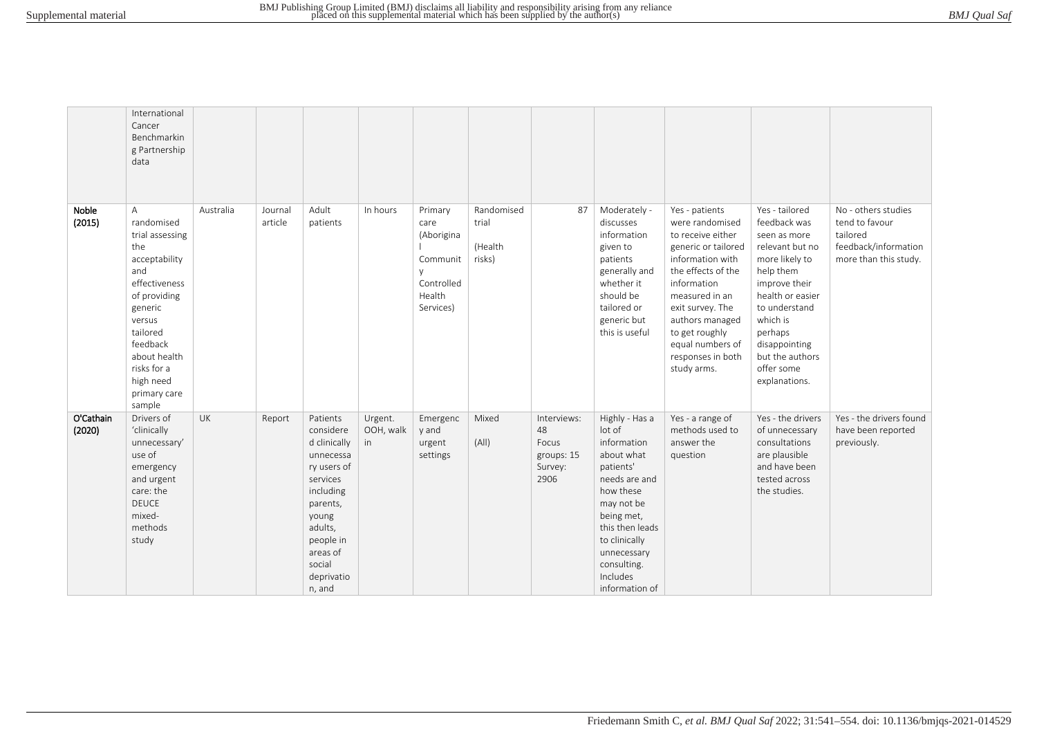|  | BMJ Qual Saf |  |
|--|--------------|--|
|--|--------------|--|

|                     | International<br>Cancer<br>Benchmarkin<br>g Partnership<br>data                                                                                                                                                       |           |                    |                                                                                                                                                                                       |                            |                                                                                |                                          |                                                             |                                                                                                                                                                                                                              |                                                                                                                                                                                                                                                                           |                                                                                                                                                                                                                                                  |                                                                                                    |
|---------------------|-----------------------------------------------------------------------------------------------------------------------------------------------------------------------------------------------------------------------|-----------|--------------------|---------------------------------------------------------------------------------------------------------------------------------------------------------------------------------------|----------------------------|--------------------------------------------------------------------------------|------------------------------------------|-------------------------------------------------------------|------------------------------------------------------------------------------------------------------------------------------------------------------------------------------------------------------------------------------|---------------------------------------------------------------------------------------------------------------------------------------------------------------------------------------------------------------------------------------------------------------------------|--------------------------------------------------------------------------------------------------------------------------------------------------------------------------------------------------------------------------------------------------|----------------------------------------------------------------------------------------------------|
| Noble<br>(2015)     | A<br>randomised<br>trial assessing<br>the<br>acceptability<br>and<br>effectiveness<br>of providing<br>generic<br>versus<br>tailored<br>feedback<br>about health<br>risks for a<br>high need<br>primary care<br>sample | Australia | Journal<br>article | Adult<br>patients                                                                                                                                                                     | In hours                   | Primary<br>care<br>(Aborigina<br>Communit<br>Controlled<br>Health<br>Services) | Randomised<br>trial<br>(Health<br>risks) | 87                                                          | Moderately -<br>discusses<br>information<br>given to<br>patients<br>generally and<br>whether it<br>should be<br>tailored or<br>generic but<br>this is useful                                                                 | Yes - patients<br>were randomised<br>to receive either<br>generic or tailored<br>information with<br>the effects of the<br>information<br>measured in an<br>exit survey. The<br>authors managed<br>to get roughly<br>equal numbers of<br>responses in both<br>study arms. | Yes - tailored<br>feedback was<br>seen as more<br>relevant but no<br>more likely to<br>help them<br>improve their<br>health or easier<br>to understand<br>which is<br>perhaps<br>disappointing<br>but the authors<br>offer some<br>explanations. | No - others studies<br>tend to favour<br>tailored<br>feedback/information<br>more than this study. |
| O'Cathain<br>(2020) | Drivers of<br>'clinically<br>unnecessary'<br>use of<br>emergency<br>and urgent<br>care: the<br><b>DEUCE</b><br>mixed-<br>methods<br>study                                                                             | <b>UK</b> | Report             | Patients<br>considere<br>d clinically<br>unnecessa<br>ry users of<br>services<br>including<br>parents,<br>young<br>adults,<br>people in<br>areas of<br>social<br>deprivatio<br>n, and | Urgent.<br>OOH, walk<br>in | Emergenc<br>y and<br>urgent<br>settings                                        | Mixed<br>(A  )                           | Interviews:<br>48<br>Focus<br>groups: 15<br>Survey:<br>2906 | Highly - Has a<br>lot of<br>information<br>about what<br>patients'<br>needs are and<br>how these<br>may not be<br>being met,<br>this then leads<br>to clinically<br>unnecessary<br>consulting.<br>Includes<br>information of | Yes - a range of<br>methods used to<br>answer the<br>question                                                                                                                                                                                                             | Yes - the drivers<br>of unnecessary<br>consultations<br>are plausible<br>and have been<br>tested across<br>the studies.                                                                                                                          | Yes - the drivers found<br>have been reported<br>previously.                                       |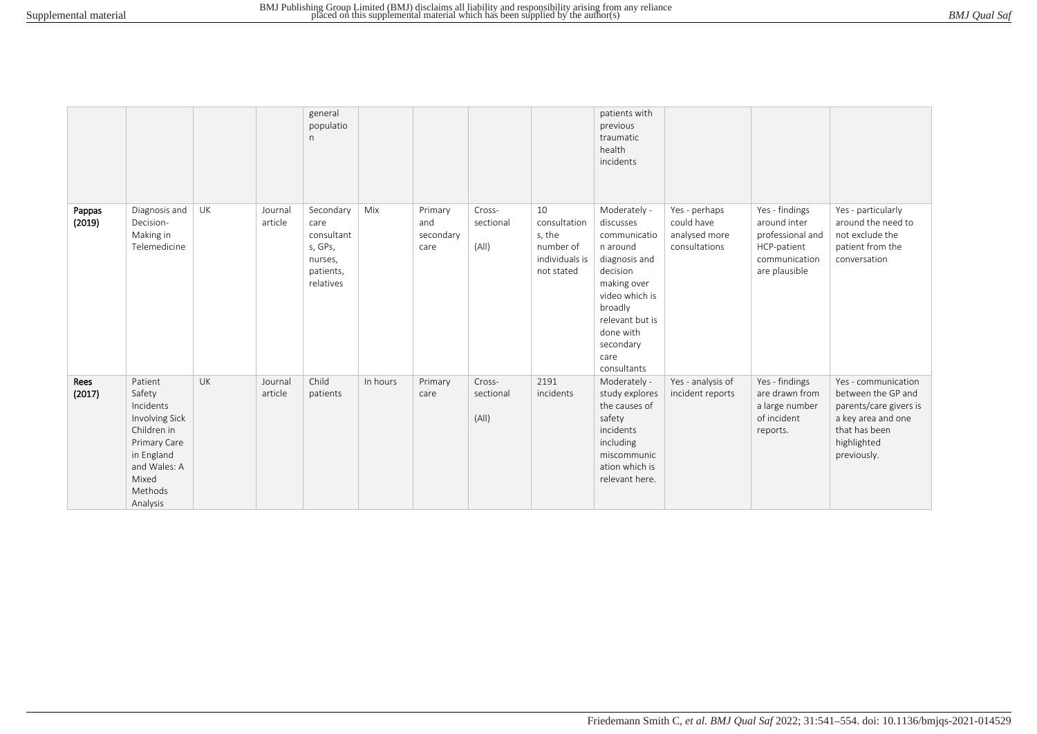|                  |                                                                                                                                               |           |                    | general<br>populatio<br>n                                                       |          |                                     |                              |                                                                           | patients with<br>previous<br>traumatic<br>health<br>incidents                                                                                                                                      |                                                               |                                                                                                     |                                                                                                                                          |
|------------------|-----------------------------------------------------------------------------------------------------------------------------------------------|-----------|--------------------|---------------------------------------------------------------------------------|----------|-------------------------------------|------------------------------|---------------------------------------------------------------------------|----------------------------------------------------------------------------------------------------------------------------------------------------------------------------------------------------|---------------------------------------------------------------|-----------------------------------------------------------------------------------------------------|------------------------------------------------------------------------------------------------------------------------------------------|
| Pappas<br>(2019) | Diagnosis and<br>Decision-<br>Making in<br>Telemedicine                                                                                       | UK        | Journal<br>article | Secondary<br>care<br>consultant<br>s, GPs,<br>nurses,<br>patients,<br>relatives | Mix      | Primary<br>and<br>secondary<br>care | Cross-<br>sectional<br>(A  ) | 10<br>consultation<br>s, the<br>number of<br>individuals is<br>not stated | Moderately -<br>discusses<br>communicatio<br>n around<br>diagnosis and<br>decision<br>making over<br>video which is<br>broadly<br>relevant but is<br>done with<br>secondary<br>care<br>consultants | Yes - perhaps<br>could have<br>analysed more<br>consultations | Yes - findings<br>around inter<br>professional and<br>HCP-patient<br>communication<br>are plausible | Yes - particularly<br>around the need to<br>not exclude the<br>patient from the<br>conversation                                          |
| Rees<br>(2017)   | Patient<br>Safety<br>Incidents<br>Involving Sick<br>Children in<br>Primary Care<br>in England<br>and Wales: A<br>Mixed<br>Methods<br>Analysis | <b>UK</b> | Journal<br>article | Child<br>patients                                                               | In hours | Primary<br>care                     | Cross-<br>sectional<br>(A  ) | 2191<br>incidents                                                         | Moderately -<br>study explores<br>the causes of<br>safety<br>incidents<br>including<br>miscommunic<br>ation which is<br>relevant here.                                                             | Yes - analysis of<br>incident reports                         | Yes - findings<br>are drawn from<br>a large number<br>of incident<br>reports.                       | Yes - communication<br>between the GP and<br>parents/care givers is<br>a key area and one<br>that has been<br>highlighted<br>previously. |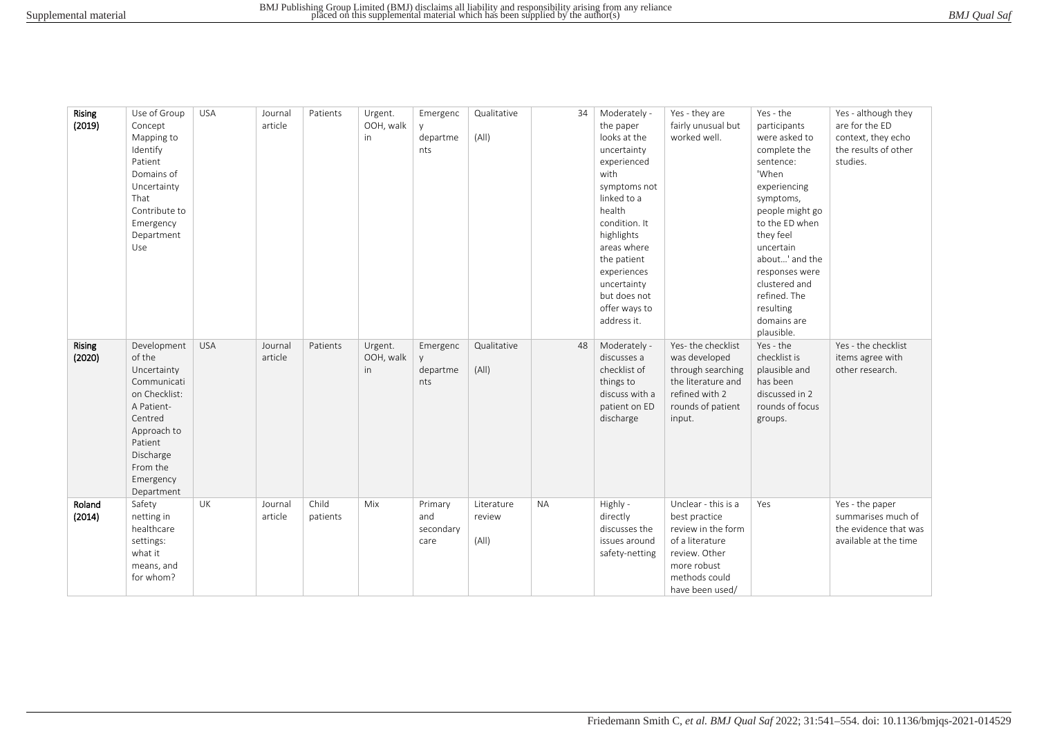| Rising<br>(2019)        | Use of Group<br>Concept<br>Mapping to<br>Identify<br>Patient<br>Domains of<br>Uncertainty<br>That<br>Contribute to<br>Emergency<br>Department<br>Use                        | <b>USA</b> | Journal<br>article | Patients          | Urgent.<br>OOH, walk<br>in | Emergenc<br>departme<br>nts         | Qualitative<br>(A  )          | 34        | Moderately -<br>the paper<br>looks at the<br>uncertainty<br>experienced<br>with<br>symptoms not<br>linked to a<br>health<br>condition. It<br>highlights<br>areas where<br>the patient<br>experiences<br>uncertainty<br>but does not<br>offer ways to<br>address it. | Yes - they are<br>fairly unusual but<br>worked well.                                                                                              | Yes - the<br>participants<br>were asked to<br>complete the<br>sentence:<br>'When<br>experiencing<br>symptoms,<br>people might go<br>to the ED when<br>they feel<br>uncertain<br>about' and the<br>responses were<br>clustered and<br>refined. The<br>resulting<br>domains are<br>plausible. | Yes - although they<br>are for the ED<br>context, they echo<br>the results of other<br>studies. |
|-------------------------|-----------------------------------------------------------------------------------------------------------------------------------------------------------------------------|------------|--------------------|-------------------|----------------------------|-------------------------------------|-------------------------------|-----------|---------------------------------------------------------------------------------------------------------------------------------------------------------------------------------------------------------------------------------------------------------------------|---------------------------------------------------------------------------------------------------------------------------------------------------|---------------------------------------------------------------------------------------------------------------------------------------------------------------------------------------------------------------------------------------------------------------------------------------------|-------------------------------------------------------------------------------------------------|
| <b>Rising</b><br>(2020) | Development<br>of the<br>Uncertainty<br>Communicati<br>on Checklist:<br>A Patient-<br>Centred<br>Approach to<br>Patient<br>Discharge<br>From the<br>Emergency<br>Department | <b>USA</b> | Journal<br>article | Patients          | Urgent.<br>OOH, walk<br>in | Emergenc<br>departme<br>nts         | Qualitative<br>(A  )          | 48        | Moderately -<br>discusses a<br>checklist of<br>things to<br>discuss with a<br>patient on ED<br>discharge                                                                                                                                                            | Yes-the checklist<br>was developed<br>through searching<br>the literature and<br>refined with 2<br>rounds of patient<br>input.                    | Yes - the<br>checklist is<br>plausible and<br>has been<br>discussed in 2<br>rounds of focus<br>groups.                                                                                                                                                                                      | Yes - the checklist<br>items agree with<br>other research.                                      |
| Roland<br>(2014)        | Safety<br>netting in<br>healthcare<br>settings:<br>what it<br>means, and<br>for whom?                                                                                       | UK         | Journal<br>article | Child<br>patients | Mix                        | Primary<br>and<br>secondary<br>care | Literature<br>review<br>(A  ) | <b>NA</b> | Highly -<br>directly<br>discusses the<br>issues around<br>safety-netting                                                                                                                                                                                            | Unclear - this is a<br>best practice<br>review in the form<br>of a literature<br>review. Other<br>more robust<br>methods could<br>have been used/ | Yes                                                                                                                                                                                                                                                                                         | Yes - the paper<br>summarises much of<br>the evidence that was<br>available at the time         |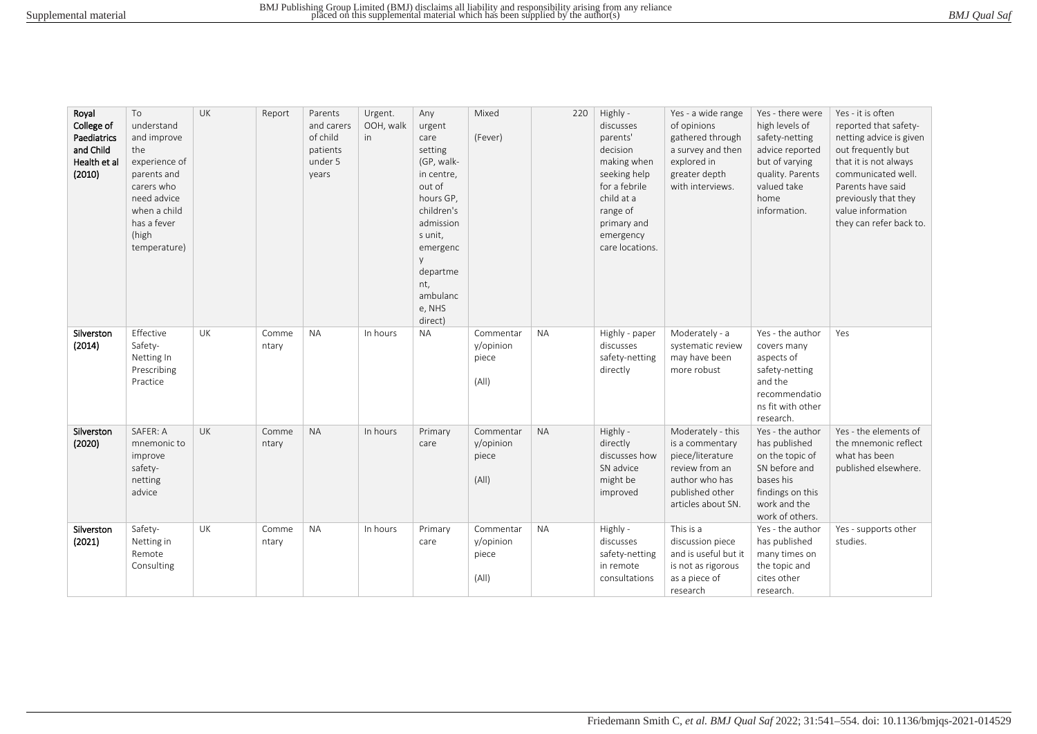| Royal<br>College of<br>Paediatrics<br>and Child<br>Health et al<br>(2010) | To<br>understand<br>and improve<br>the<br>experience of<br>parents and<br>carers who<br>need advice<br>when a child<br>has a fever<br>(high<br>temperature) | UK        | Report         | Parents<br>and carers<br>of child<br>patients<br>under 5<br>years | Urgent.<br>OOH, walk<br>in | Any<br>urgent<br>care<br>setting<br>(GP, walk-<br>in centre,<br>out of<br>hours GP,<br>children's<br>admission<br>s unit,<br>emergenc<br>departme<br>nt,<br>ambulanc<br>e, NHS<br>direct) | Mixed<br>(Fever)                         | 220       | Highly -<br>discusses<br>parents'<br>decision<br>making when<br>seeking help<br>for a febrile<br>child at a<br>range of<br>primary and<br>emergency<br>care locations. | Yes - a wide range<br>of opinions<br>gathered through<br>a survey and then<br>explored in<br>greater depth<br>with interviews.        | Yes - there were<br>high levels of<br>safety-netting<br>advice reported<br>but of varying<br>quality. Parents<br>valued take<br>home<br>information. | Yes - it is often<br>reported that safety-<br>netting advice is given<br>out frequently but<br>that it is not always<br>communicated well.<br>Parents have said<br>previously that they<br>value information<br>they can refer back to. |
|---------------------------------------------------------------------------|-------------------------------------------------------------------------------------------------------------------------------------------------------------|-----------|----------------|-------------------------------------------------------------------|----------------------------|-------------------------------------------------------------------------------------------------------------------------------------------------------------------------------------------|------------------------------------------|-----------|------------------------------------------------------------------------------------------------------------------------------------------------------------------------|---------------------------------------------------------------------------------------------------------------------------------------|------------------------------------------------------------------------------------------------------------------------------------------------------|-----------------------------------------------------------------------------------------------------------------------------------------------------------------------------------------------------------------------------------------|
| Silverston<br>(2014)                                                      | Effective<br>Safety-<br>Netting In<br>Prescribing<br>Practice                                                                                               | <b>UK</b> | Comme<br>ntary | <b>NA</b>                                                         | In hours                   | <b>NA</b>                                                                                                                                                                                 | Commentar<br>y/opinion<br>piece<br>(A  ) | <b>NA</b> | Highly - paper<br>discusses<br>safety-netting<br>directly                                                                                                              | Moderately - a<br>systematic review<br>may have been<br>more robust                                                                   | Yes - the author<br>covers many<br>aspects of<br>safety-netting<br>and the<br>recommendatio<br>ns fit with other<br>research.                        | Yes                                                                                                                                                                                                                                     |
| Silverston<br>(2020)                                                      | SAFER: A<br>mnemonic to<br>improve<br>safety-<br>netting<br>advice                                                                                          | UK        | Comme<br>ntary | <b>NA</b>                                                         | In hours                   | Primary<br>care                                                                                                                                                                           | Commentar<br>y/opinion<br>piece<br>(A  ) | <b>NA</b> | Highly -<br>directly<br>discusses how<br>SN advice<br>might be<br>improved                                                                                             | Moderately - this<br>is a commentary<br>piece/literature<br>review from an<br>author who has<br>published other<br>articles about SN. | Yes - the author<br>has published<br>on the topic of<br>SN before and<br>bases his<br>findings on this<br>work and the<br>work of others.            | Yes - the elements of<br>the mnemonic reflect<br>what has been<br>published elsewhere.                                                                                                                                                  |
| Silverston<br>(2021)                                                      | Safety-<br>Netting in<br>Remote<br>Consulting                                                                                                               | UK        | Comme<br>ntary | <b>NA</b>                                                         | In hours                   | Primary<br>care                                                                                                                                                                           | Commentar<br>y/opinion<br>piece<br>(A  ) | <b>NA</b> | Highly -<br>discusses<br>safety-netting<br>in remote<br>consultations                                                                                                  | This is a<br>discussion piece<br>and is useful but it<br>is not as rigorous<br>as a piece of<br>research                              | Yes - the author<br>has published<br>many times on<br>the topic and<br>cites other<br>research.                                                      | Yes - supports other<br>studies.                                                                                                                                                                                                        |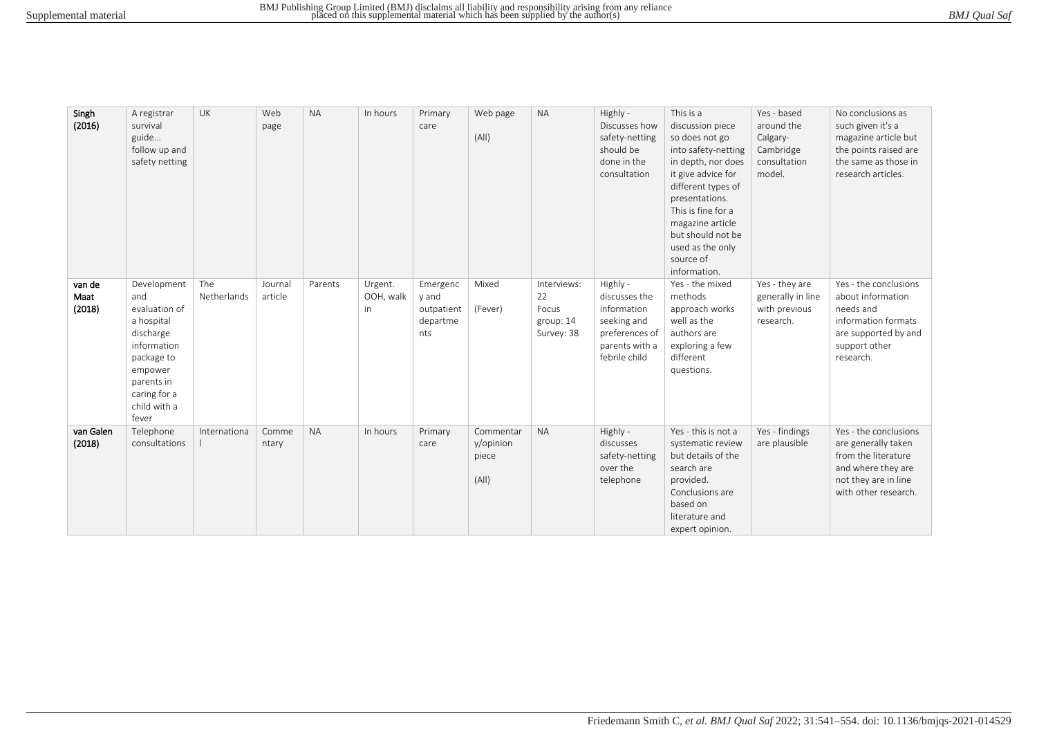| BMJ Qual Saf |  |
|--------------|--|
|              |  |

| Singh<br>(2016)          | A registrar<br>survival<br>guide<br>follow up and<br>safety netting                                                                                           | UK                 | Web<br>page        | <b>NA</b> | In hours                          | Primary<br>care                                    | Web page<br>(A  )                        | <b>NA</b>                                             | Highly -<br>Discusses how<br>safety-netting<br>should be<br>done in the<br>consultation                      | This is a<br>discussion piece<br>so does not go<br>into safety-netting<br>in depth, nor does<br>it give advice for<br>different types of<br>presentations.<br>This is fine for a<br>magazine article<br>but should not be<br>used as the only<br>source of<br>information. | Yes - based<br>around the<br>Calgary-<br>Cambridge<br>consultation<br>model. | No conclusions as<br>such given it's a<br>magazine article but<br>the points raised are<br>the same as those in<br>research articles.     |
|--------------------------|---------------------------------------------------------------------------------------------------------------------------------------------------------------|--------------------|--------------------|-----------|-----------------------------------|----------------------------------------------------|------------------------------------------|-------------------------------------------------------|--------------------------------------------------------------------------------------------------------------|----------------------------------------------------------------------------------------------------------------------------------------------------------------------------------------------------------------------------------------------------------------------------|------------------------------------------------------------------------------|-------------------------------------------------------------------------------------------------------------------------------------------|
| van de<br>Maat<br>(2018) | Development<br>and<br>evaluation of<br>a hospital<br>discharge<br>information<br>package to<br>empower<br>parents in<br>caring for a<br>child with a<br>fever | The<br>Netherlands | Journal<br>article | Parents   | Urgent.<br>OOH, walk<br><i>in</i> | Emergenc<br>y and<br>outpatient<br>departme<br>nts | Mixed<br>(Fever)                         | Interviews:<br>22<br>Focus<br>group: 14<br>Survey: 38 | Highly -<br>discusses the<br>information<br>seeking and<br>preferences of<br>parents with a<br>febrile child | Yes - the mixed<br>methods<br>approach works<br>well as the<br>authors are<br>exploring a few<br>different<br>questions.                                                                                                                                                   | Yes - they are<br>generally in line<br>with previous<br>research.            | Yes - the conclusions<br>about information<br>needs and<br>information formats<br>are supported by and<br>support other<br>research.      |
| van Galen<br>(2018)      | Telephone<br>consultations                                                                                                                                    | Internationa       | Comme<br>ntary     | <b>NA</b> | In hours                          | Primary<br>care                                    | Commentar<br>y/opinion<br>piece<br>(A  ) | <b>NA</b>                                             | Highly -<br>discusses<br>safety-netting<br>over the<br>telephone                                             | Yes - this is not a<br>systematic review<br>but details of the<br>search are<br>provided.<br>Conclusions are<br>based on<br>literature and<br>expert opinion.                                                                                                              | Yes - findings<br>are plausible                                              | Yes - the conclusions<br>are generally taken<br>from the literature<br>and where they are<br>not they are in line<br>with other research. |